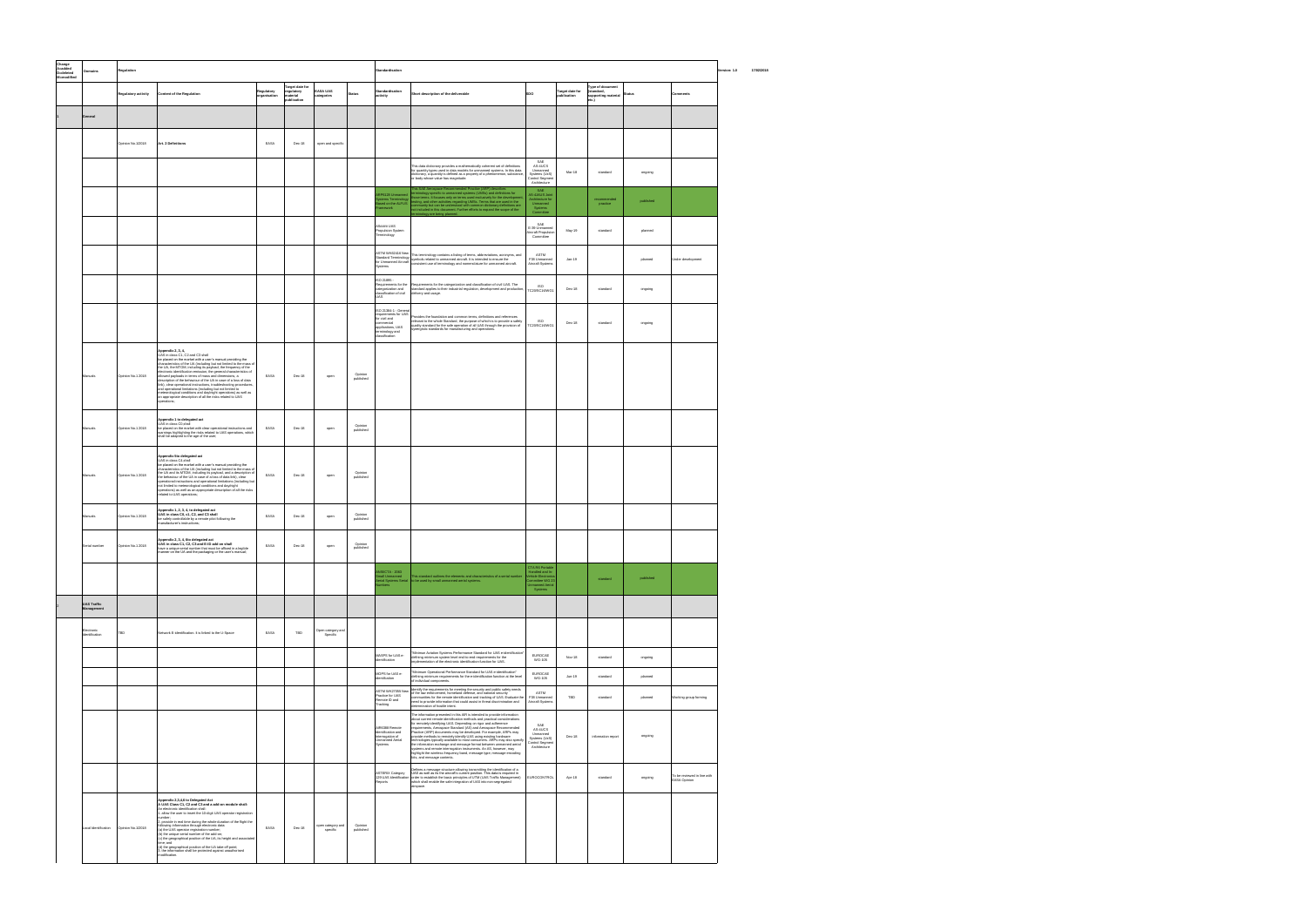| Change<br>A=added<br>D=deleted<br>M=modified | Domains                          | Regulation          |                                                                                                                                                                                                                                                                                                                                                                                                                                                                                                                                                                                                                                                                                                                                              |                           |                                                         |                               |                      | Standardisation                                                                                                                       |                                                                                                                                                                                                                                                                                                                                                                                                                                                                                                                                                                                                                                                                                                                                                                    |                                                                                                        |                                |                                                               |           |                                             |
|----------------------------------------------|----------------------------------|---------------------|----------------------------------------------------------------------------------------------------------------------------------------------------------------------------------------------------------------------------------------------------------------------------------------------------------------------------------------------------------------------------------------------------------------------------------------------------------------------------------------------------------------------------------------------------------------------------------------------------------------------------------------------------------------------------------------------------------------------------------------------|---------------------------|---------------------------------------------------------|-------------------------------|----------------------|---------------------------------------------------------------------------------------------------------------------------------------|--------------------------------------------------------------------------------------------------------------------------------------------------------------------------------------------------------------------------------------------------------------------------------------------------------------------------------------------------------------------------------------------------------------------------------------------------------------------------------------------------------------------------------------------------------------------------------------------------------------------------------------------------------------------------------------------------------------------------------------------------------------------|--------------------------------------------------------------------------------------------------------|--------------------------------|---------------------------------------------------------------|-----------|---------------------------------------------|
|                                              |                                  | Regulatory activity | Content of the Regulation                                                                                                                                                                                                                                                                                                                                                                                                                                                                                                                                                                                                                                                                                                                    | Regulatory<br>rganisation | arget date for<br>regulatory<br>material<br>publication | <b>EASA UAS</b>               | Status               | Standardisation<br>activity                                                                                                           | Short description of the deliverable                                                                                                                                                                                                                                                                                                                                                                                                                                                                                                                                                                                                                                                                                                                               | SDO                                                                                                    | Target date for<br>publication | Type of document<br>(standard,<br>supporting materia<br>etc.) | Status    | <b>Comments</b>                             |
|                                              | General                          |                     |                                                                                                                                                                                                                                                                                                                                                                                                                                                                                                                                                                                                                                                                                                                                              |                           |                                                         |                               |                      |                                                                                                                                       |                                                                                                                                                                                                                                                                                                                                                                                                                                                                                                                                                                                                                                                                                                                                                                    |                                                                                                        |                                |                                                               |           |                                             |
|                                              |                                  | Dpinion No.1/2018   | Art. 2 Definitions                                                                                                                                                                                                                                                                                                                                                                                                                                                                                                                                                                                                                                                                                                                           | EASA                      | $Dec-18$                                                | open and specific             |                      |                                                                                                                                       |                                                                                                                                                                                                                                                                                                                                                                                                                                                                                                                                                                                                                                                                                                                                                                    |                                                                                                        |                                |                                                               |           |                                             |
|                                              |                                  |                     |                                                                                                                                                                                                                                                                                                                                                                                                                                                                                                                                                                                                                                                                                                                                              |                           |                                                         |                               |                      |                                                                                                                                       | This data dictionary provides a mathematically coherent set of definitions<br>for quantity types used in data models for unmanned systems. In this data<br>dictionary, a quantity is defined as a property of a phenomenon, substance<br>or body whose value has magnitude.                                                                                                                                                                                                                                                                                                                                                                                                                                                                                        | SAE<br>AS-4UCS<br>Unmanned<br>Systems (UxS)<br>Control Segmen<br>Architecture                          | Mar-18                         | standard                                                      | ongoing   |                                             |
|                                              |                                  |                     |                                                                                                                                                                                                                                                                                                                                                                                                                                                                                                                                                                                                                                                                                                                                              |                           |                                                         |                               |                      | RP6128 Unmanned<br>stems Terminology<br>ased on the ALFUS<br>amework                                                                  | This SAE Aerospace Recommended Practice (ARP) describes<br>terminology specific to unmarned systems (UNSS) and definitions for<br>throe terms. It focuses only on terms used exclusively for the development<br>testing, and other acci                                                                                                                                                                                                                                                                                                                                                                                                                                                                                                                            | SAE<br>AS-4JAUS Joint<br>Architecture for<br>Unmanned<br>Systems                                       |                                | recommended<br>practive                                       | published |                                             |
|                                              |                                  |                     |                                                                                                                                                                                                                                                                                                                                                                                                                                                                                                                                                                                                                                                                                                                                              |                           |                                                         |                               |                      | AS#### UAS<br>Propulsion System<br>Terminology                                                                                        |                                                                                                                                                                                                                                                                                                                                                                                                                                                                                                                                                                                                                                                                                                                                                                    | SAE<br>E-39 Unmanned<br>Aircraft Propulsion<br>Committee                                               | May-19                         | standard                                                      | planned   |                                             |
|                                              |                                  |                     |                                                                                                                                                                                                                                                                                                                                                                                                                                                                                                                                                                                                                                                                                                                                              |                           |                                                         |                               |                      | ASTM WK62416 New<br>Systems                                                                                                           | This terminology contains a listing of terms, abbreviations, acronyms, and<br>stational terminology<br>for Unmanned Aircraft symbols related to unmanned aircraft it is intended to ensure the<br>formal conditional section of terminology and accredit is intended to ensure the<br>consistent use of terminology and nomenclature for unmanned aircraft.                                                                                                                                                                                                                                                                                                                                                                                                        | $\mathsf{ASTM}\xspace$<br>F38 Unmanned<br>Aircraft Systems                                             | $Jan-19$                       |                                                               | planned   | Under development                           |
|                                              |                                  |                     |                                                                                                                                                                                                                                                                                                                                                                                                                                                                                                                                                                                                                                                                                                                                              |                           |                                                         |                               |                      | ISO 21895 -<br>Requirements for the<br>categorization and<br>classification of civil<br>UAS                                           | Requirements for the categorization and classification of civil UAS. The<br>standard applies to their industrial regulation, development and production,<br>delivery and usage.                                                                                                                                                                                                                                                                                                                                                                                                                                                                                                                                                                                    | ISO<br>TC20/SC16/WG1                                                                                   | Dec-18                         | standard                                                      | ongoing   |                                             |
|                                              |                                  |                     |                                                                                                                                                                                                                                                                                                                                                                                                                                                                                                                                                                                                                                                                                                                                              |                           |                                                         |                               |                      | ISO 21384-1 - Genera<br>requirements for UAS<br>for civil and<br>commercial<br>applications, UAS<br>terminology and<br>classification | Provides the foundation and common terms, definitions and references<br>relevant to the whole Standard, the purpose of which is to provide a safety<br>quality standard for the safe operation of all UAS through the provision of synergistic standards for manufacturing and operations.                                                                                                                                                                                                                                                                                                                                                                                                                                                                         | ISO<br>TC20/SC16/WG1                                                                                   | Dec-18                         | standard                                                      | ongoing   |                                             |
|                                              | Manuals                          | Opinion No.1 2018   | Appendix 2, 3, 4,<br>UAS in class C1, C2 and C3 shall<br>be placed on the market with a user's manual providing the<br>characteristics of the UA (including but not limited to the mass o<br>the UA, the MTOM, including its payload, the frequency of the<br>electronic identification emission, the general characteristics of<br>allowed payloads in terms of mass and dimensions, a<br>description of the behaviour of the UA in case of a loss of data<br>link), clear operational instructions, troubleshooting procedures<br>and operational limitations (including but not limited to<br>meteorological conditions and day/night operations) as well as<br>an appropriate description of all the risks related to UAS<br>operations; | EASA                      | Dec-18                                                  | open                          | Opinion<br>published |                                                                                                                                       |                                                                                                                                                                                                                                                                                                                                                                                                                                                                                                                                                                                                                                                                                                                                                                    |                                                                                                        |                                |                                                               |           |                                             |
|                                              | Manuals                          | Opinion No.1 2018   | Appendix 1 to delegated act<br>UAS in class C0, shall<br>be placed on the market with clear operational instructions and<br>warnings highlighting the risks related to UAS operations, which<br>shall be adapted to the age of the user;                                                                                                                                                                                                                                                                                                                                                                                                                                                                                                     | EASA                      | Dec-18                                                  | open                          | Opinion<br>published |                                                                                                                                       |                                                                                                                                                                                                                                                                                                                                                                                                                                                                                                                                                                                                                                                                                                                                                                    |                                                                                                        |                                |                                                               |           |                                             |
|                                              | Manuals                          | Opinion No.1 2018   | Appendix 5to delegated act<br>UAS in class C4, shall<br>be placed on the market with a user's manual providing the<br>characteristics of the UA (including but not limited to the mass of<br>the UA and its MTOM, including its payload, and a description of<br>the behaviour of the UA in case of a loss of data link), clear<br>operational instructions and operational limitations (including but<br>not limited to meteorological conditions and day/night<br>operations) as well as an appropriate description of all the risks<br>related to UAS operations;                                                                                                                                                                         | EASA                      | Dec-18                                                  | open                          | Opinion<br>published |                                                                                                                                       |                                                                                                                                                                                                                                                                                                                                                                                                                                                                                                                                                                                                                                                                                                                                                                    |                                                                                                        |                                |                                                               |           |                                             |
|                                              | fanuals                          | Opinion No.1 2018   | Appendix 1, 2, 3, 4, to delegated act<br>UAS in class C0, c1, C2, and C3 shall<br>be safely controllable by a remote pilot following the<br>nanufacturer's instructions;                                                                                                                                                                                                                                                                                                                                                                                                                                                                                                                                                                     | EASA                      | $Dec-18$                                                | open                          | Opinion<br>published |                                                                                                                                       |                                                                                                                                                                                                                                                                                                                                                                                                                                                                                                                                                                                                                                                                                                                                                                    |                                                                                                        |                                |                                                               |           |                                             |
|                                              | Serial number                    | Opinion No.1 2018   | Appendix 2, 3, 4, 6to delegated act<br>UAS in class C1, C2, C3 and E-ID add on shall<br>have a unique serial number that must be affixed in a legible<br>hanner on the UA and the packaging or the user's manual;                                                                                                                                                                                                                                                                                                                                                                                                                                                                                                                            | EASA                      | Dec-18                                                  | open                          | Opinion<br>published |                                                                                                                                       |                                                                                                                                                                                                                                                                                                                                                                                                                                                                                                                                                                                                                                                                                                                                                                    |                                                                                                        |                                |                                                               |           |                                             |
|                                              |                                  |                     |                                                                                                                                                                                                                                                                                                                                                                                                                                                                                                                                                                                                                                                                                                                                              |                           |                                                         |                               |                      | <b>ISI/CTA - 2063</b><br>imbers                                                                                                       | mall Unmanned This standard outlines the elements and characteristics of a serial number<br>erial Systems Serial to be used by small unmanned aerial systems.                                                                                                                                                                                                                                                                                                                                                                                                                                                                                                                                                                                                      | CTA R6 Portable<br>landled and In<br>ehicle Electron<br>Committee WG 2<br>Unmanned Aeria<br>Systems    |                                | standard                                                      | published |                                             |
|                                              | <b>UAS Traffic</b><br>Management |                     |                                                                                                                                                                                                                                                                                                                                                                                                                                                                                                                                                                                                                                                                                                                                              |                           |                                                         |                               |                      |                                                                                                                                       |                                                                                                                                                                                                                                                                                                                                                                                                                                                                                                                                                                                                                                                                                                                                                                    |                                                                                                        |                                |                                                               |           |                                             |
|                                              | Electronic<br>dentification      | TBD                 | Network E-identification. It is linked to the U-Space                                                                                                                                                                                                                                                                                                                                                                                                                                                                                                                                                                                                                                                                                        | EASA                      | TBD                                                     | Open category and<br>Specific |                      |                                                                                                                                       |                                                                                                                                                                                                                                                                                                                                                                                                                                                                                                                                                                                                                                                                                                                                                                    |                                                                                                        |                                |                                                               |           |                                             |
|                                              |                                  |                     |                                                                                                                                                                                                                                                                                                                                                                                                                                                                                                                                                                                                                                                                                                                                              |                           |                                                         |                               |                      | MASPS for UAS e-<br>dentification                                                                                                     | Minimun Aviation Systems Performance Standard for UAS e-identificat<br>defining minimum system level end-to-end requirements for the<br>mplementation of the electronic identification function for UAS.                                                                                                                                                                                                                                                                                                                                                                                                                                                                                                                                                           | EUROCAE<br><b>WG-105</b>                                                                               | Nov-18                         | standard                                                      | ongoing   |                                             |
|                                              |                                  |                     |                                                                                                                                                                                                                                                                                                                                                                                                                                                                                                                                                                                                                                                                                                                                              |                           |                                                         |                               |                      | MOPS for UAS e-<br>identification                                                                                                     | "Minimum Operational Performance Standard for UAS e-identification"<br>defining minimum requirements for the e-identification function at the leve<br>of individual components.                                                                                                                                                                                                                                                                                                                                                                                                                                                                                                                                                                                    | EUROCAE<br><b>WG-105</b>                                                                               | $Jun-19$                       | standard                                                      | planned   |                                             |
|                                              |                                  |                     |                                                                                                                                                                                                                                                                                                                                                                                                                                                                                                                                                                                                                                                                                                                                              |                           |                                                         |                               |                      | ASTM WK27055 New<br>Practice for UAS<br>Remote ID and<br>Tracking                                                                     | Identify the requirements for meeting the security and public safety needs<br>of the law enforcement, homeland defense, and national security<br>communities for the remote identification and tracking of UAS. Evaluate the<br>need to provide information that could assist in threat discrimination and<br>letermination of hostile intent.                                                                                                                                                                                                                                                                                                                                                                                                                     | <b>ASTM</b><br>F38 Unmanned<br>Aircraft Systems                                                        | TBD                            | standard                                                      | planned   | Working group forming                       |
|                                              |                                  |                     |                                                                                                                                                                                                                                                                                                                                                                                                                                                                                                                                                                                                                                                                                                                                              |                           |                                                         |                               |                      | AIR6388 Remote<br>Identification and<br>Interrogation of<br>Unmanned Aerial<br>Systems                                                | The information presented in this AIR is intended to provide information<br>about current remote identification methods and practical considerations<br>for remotely identifying UAS. Depending on rigor and adherence<br>requirements, Aerospace Standard (AS) and Aerospace Recommended<br>Practice (ARP) documents may be developed. For example, ARPs may<br>provide methods to remotely identify UAS using existing hardware<br>technologies typically available to most consumers. ARPs may also specify<br>the information exchange and message format between unmanned aerial<br>systems and remote interrogation instruments. An AS, however, may<br>highlight the wireless frequency band, message type, message encoding<br>bits, and message contents. | $\ensuremath{\mathsf{SAE}}$<br>AS-4UCS<br>Unmanned<br>Systems (UxS)<br>Control Segment<br>Architecture | Dec-18                         | information report                                            | ongoing   |                                             |
|                                              |                                  |                     |                                                                                                                                                                                                                                                                                                                                                                                                                                                                                                                                                                                                                                                                                                                                              |                           |                                                         |                               |                      | ASTERIX Category<br>129 UAS Identification<br>Reports                                                                                 | Defines a message structure allowing transmitting the identification of a<br>UAS as well as its the aircraft's current position. This data is required in<br>order to establish the basic principles of UTM (UAS Traffic Management)<br>which shall enable the safe integration of UAS into non-segregated<br>airspace.                                                                                                                                                                                                                                                                                                                                                                                                                                            | <b>EUROCONTROL</b>                                                                                     | Apr-18                         | standard                                                      | ongoing   | To be reviewed in line with<br>EASA Opinion |
|                                              | Local Identification             | Opinion No.1/2018   | Appendix 2.3.4.6 to Delegated Act<br>A UAS Class C1, C2 and C3 and a add-on module shall:<br>An electronic identification shall:<br>1. allow the user to insert the 10-digit UAS operator registration<br>umber<br>2. provide in real time during the whole duration of the flight the<br>ollowing information through electronic data:<br>(a) the UAS operator registration number;<br>(b) the unique serial number of the add-on;<br>(c) the geographical position of the UA, its height and associated<br>time; and<br>(d) the geographical position of the UA take-off point;<br>3. the information shall be protected against unauthorised<br>todification.                                                                             | EASA                      | Dec-18                                                  | open category and<br>specific | Opinion<br>published |                                                                                                                                       |                                                                                                                                                                                                                                                                                                                                                                                                                                                                                                                                                                                                                                                                                                                                                                    |                                                                                                        |                                |                                                               |           |                                             |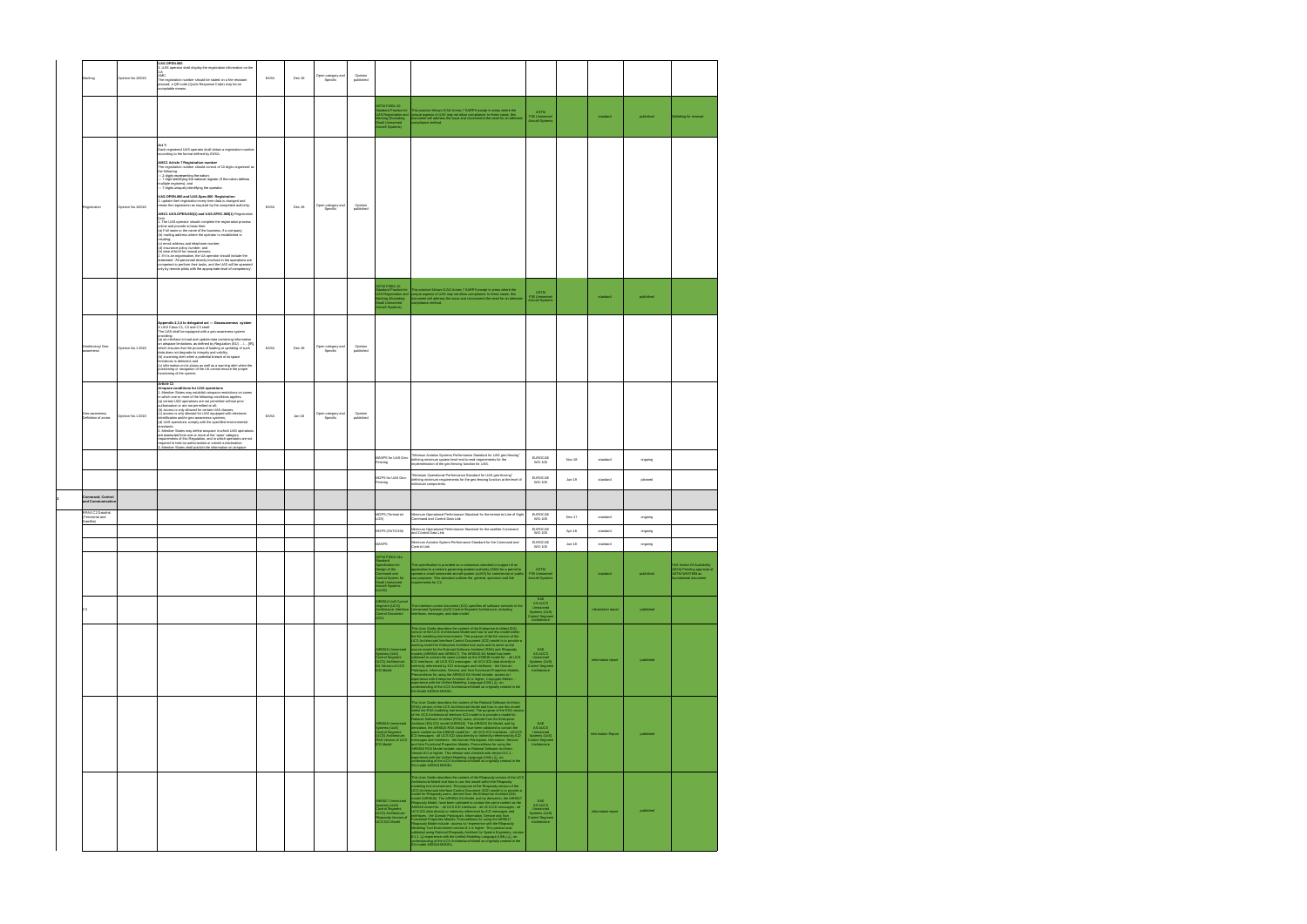**3**

| Marking                                           | Opinion No.1/2018 | UAS.OPEN.060<br>I. UAS operator shall display the registration information on the<br>AMC:<br>The registration number should be stated on a fire-resistant<br>placard; a QR code (Quick Response Code) may be an<br>cceptable means.                                                                                                                                                                                                                                                                                                                                                                                                                                                                                                                                                                                                                                                                                                                                                                                                                                                                                                                                                                                                                                                                                                          | EASA | Dec-18   | Open category and<br>Specific | Opinion<br>published |                                                                                                                                                   |                                                                                                                                                                                                                                                                                                                                                                                                                                                                                                                                                                                                                                                                                                                                                                                                                                                                                                                                                                                                                                                                                                                                                                                      |                                                                                |          |                           |           |                                                                                                  |
|---------------------------------------------------|-------------------|----------------------------------------------------------------------------------------------------------------------------------------------------------------------------------------------------------------------------------------------------------------------------------------------------------------------------------------------------------------------------------------------------------------------------------------------------------------------------------------------------------------------------------------------------------------------------------------------------------------------------------------------------------------------------------------------------------------------------------------------------------------------------------------------------------------------------------------------------------------------------------------------------------------------------------------------------------------------------------------------------------------------------------------------------------------------------------------------------------------------------------------------------------------------------------------------------------------------------------------------------------------------------------------------------------------------------------------------|------|----------|-------------------------------|----------------------|---------------------------------------------------------------------------------------------------------------------------------------------------|--------------------------------------------------------------------------------------------------------------------------------------------------------------------------------------------------------------------------------------------------------------------------------------------------------------------------------------------------------------------------------------------------------------------------------------------------------------------------------------------------------------------------------------------------------------------------------------------------------------------------------------------------------------------------------------------------------------------------------------------------------------------------------------------------------------------------------------------------------------------------------------------------------------------------------------------------------------------------------------------------------------------------------------------------------------------------------------------------------------------------------------------------------------------------------------|--------------------------------------------------------------------------------|----------|---------------------------|-----------|--------------------------------------------------------------------------------------------------|
|                                                   |                   |                                                                                                                                                                                                                                                                                                                                                                                                                                                                                                                                                                                                                                                                                                                                                                                                                                                                                                                                                                                                                                                                                                                                                                                                                                                                                                                                              |      |          |                               |                      | <b>STM F2851-10</b><br>rcraft Systems)                                                                                                            | andard Practice for This practice follows ICAO Annex 7 SARPS except in areas where the<br>AS Registration and unique aspects of UAS may not allow compliance. In these cases, this arking (Excluding Indocument will address the issue and recommend the need for an alternational compliance method.                                                                                                                                                                                                                                                                                                                                                                                                                                                                                                                                                                                                                                                                                                                                                                                                                                                                                | <b>ASTM</b><br>F38 Unmanned<br><b>Vircraft Syster</b>                          |          | standard                  | published | <b>Ballotting for renewal</b>                                                                    |
| Registration                                      | Opinion No.1/2018 | Art 7:<br><br>Each registered UAS operator shall obtain a registration number<br>according to the format defined by EASA.<br><b>AMC1 Article 7 Registration number</b><br>The registration number should consist of 10 digits organised as<br>the following:<br>- 2 digits representing the nation;<br>- 1 digit identifying the national register (if the nation defines<br>ultiple registers); and<br>- 7 digits uniquely identifying the operator.<br>UAS.OPEN.060 and UAS.Spec.060 Registration<br>2. update their registration every time data is changed and<br>renew the registration as required by the competent authority;<br>AMC1 UAS.OPEN.060(1) and UAS.SPEC.060(1) Registration<br>1. The UAS operator should complete the registration process<br>inline and provide at least their.<br>(a) Full name or the name of the business, if a company;<br>(b) mailing address where the operator is established or<br>esiding:<br>(c) email address and telephone number;<br>(d) insurance policy number; and<br>(e) date of birth for natural persons:<br>. If it is an organisation, the UA operator should include the<br>statement: 'All personnel directly involved in the operations are<br>competent to perform their tasks, and the UAS will be operated<br>inly by remote pilots with the appropriate level of competency. | EASA | Dec-18   | Open category and<br>Specific | Opinion<br>published |                                                                                                                                                   |                                                                                                                                                                                                                                                                                                                                                                                                                                                                                                                                                                                                                                                                                                                                                                                                                                                                                                                                                                                                                                                                                                                                                                                      |                                                                                |          |                           |           |                                                                                                  |
|                                                   |                   |                                                                                                                                                                                                                                                                                                                                                                                                                                                                                                                                                                                                                                                                                                                                                                                                                                                                                                                                                                                                                                                                                                                                                                                                                                                                                                                                              |      |          |                               |                      | STM F2851-10<br>arking (Excluding<br>mall Unmanned<br>ircraft Systems)                                                                            | or wir source.<br>Tandard Practice for This practice follows ICAO Annex 7 SARPS except in areas where the<br>IAS Registration and unique aspects of UAS may not allow compliance. In these cases, this<br>farking (Excluding ) document<br>compliance method.                                                                                                                                                                                                                                                                                                                                                                                                                                                                                                                                                                                                                                                                                                                                                                                                                                                                                                                        | <b>ASTM</b><br>F38 Unmanned<br>Aircraft Systems                                |          | standard                  | published |                                                                                                  |
| Geofencing/ Geo-<br>nvareness                     | Opinion No.1 2018 | Appendix 2,3,4 to delegated act - Geoawareness system<br>UAS Class C1, C2 and C3 shall:<br>The UAS shall be equipped with a geo-awareness system<br>providing:<br>a) an interface to load and update data containing information<br>in airspace limitations, as defined by Regulation (EU) / [IR]<br>which ensures that the process of loading or updating of such<br>data does not degrade its integrity and validity;<br>(b) a warning alert when a potential breach of airspace<br>limitations is detected; and<br>(c) information on its status as well as a warning alert when the<br>positioning or navigation of the UA cannot ensure the proper<br>lunctioning of the system;                                                                                                                                                                                                                                                                                                                                                                                                                                                                                                                                                                                                                                                        | EASA | Dec-18   | Open category and<br>Specific | Opinion<br>published |                                                                                                                                                   |                                                                                                                                                                                                                                                                                                                                                                                                                                                                                                                                                                                                                                                                                                                                                                                                                                                                                                                                                                                                                                                                                                                                                                                      |                                                                                |          |                           |           |                                                                                                  |
| Geo-awareness<br>Definition of zones              | Opinion No.1 2018 | Article 11<br><b>Airspace conditions for UAS operations</b><br>Member States may establish airspace restrictions on zones<br>n which one or more of the following conditions applies:<br>(a) certain UAS operations are not permitted without prior<br>uthorisation or are not permitted at all;<br>(b) access is only allowed for certain UAS classes;<br>c) access is only allowed for UAS equipped with electronic<br>fentification and/or geo-awareness systems:<br>(d) UAS operations comply with the specified environmental<br>tandards.<br>Member States may define airspace in which UAS operation<br>are exempted from one or more of the 'open' category<br>requirements of this Regulation, and in which operators are not<br>equired to hold an authorisation or submit a declaration.<br>Member States shall publish the information on airspace                                                                                                                                                                                                                                                                                                                                                                                                                                                                               | EASA | $Jan-18$ | Open category and<br>Specific | Opinion<br>published |                                                                                                                                                   |                                                                                                                                                                                                                                                                                                                                                                                                                                                                                                                                                                                                                                                                                                                                                                                                                                                                                                                                                                                                                                                                                                                                                                                      |                                                                                |          |                           |           |                                                                                                  |
|                                                   |                   |                                                                                                                                                                                                                                                                                                                                                                                                                                                                                                                                                                                                                                                                                                                                                                                                                                                                                                                                                                                                                                                                                                                                                                                                                                                                                                                                              |      |          |                               |                      | MASPS for UAS Geo-<br>Fencing                                                                                                                     | "Minimun Aviation Systems Performance Standard for UAS geo-fencing"<br>defining minimum system level end-to-end requirements for the<br>implementation of the geo-fencing function for UAS.                                                                                                                                                                                                                                                                                                                                                                                                                                                                                                                                                                                                                                                                                                                                                                                                                                                                                                                                                                                          | <b>EUROCAE</b><br><b>WG-105</b>                                                | Nov-18   | standard                  | ongoing   |                                                                                                  |
|                                                   |                   |                                                                                                                                                                                                                                                                                                                                                                                                                                                                                                                                                                                                                                                                                                                                                                                                                                                                                                                                                                                                                                                                                                                                                                                                                                                                                                                                              |      |          |                               |                      | MOPS for UAS Geo<br>Fencing                                                                                                                       | "Minimum Operational Performance Standard for UAS geo-fencing"<br>defining minimum requirements for the geo-fencing function at the level of<br>individual components.                                                                                                                                                                                                                                                                                                                                                                                                                                                                                                                                                                                                                                                                                                                                                                                                                                                                                                                                                                                                               | <b>EUROCAE</b><br><b>WG-105</b>                                                | $Jun-19$ | standard                  | planned   |                                                                                                  |
| Command, Control<br>and Communicatio              |                   |                                                                                                                                                                                                                                                                                                                                                                                                                                                                                                                                                                                                                                                                                                                                                                                                                                                                                                                                                                                                                                                                                                                                                                                                                                                                                                                                              |      |          |                               |                      |                                                                                                                                                   |                                                                                                                                                                                                                                                                                                                                                                                                                                                                                                                                                                                                                                                                                                                                                                                                                                                                                                                                                                                                                                                                                                                                                                                      |                                                                                |          |                           |           |                                                                                                  |
| RPAS C2 Datalink<br>(Terrestrial and<br>atellite) |                   |                                                                                                                                                                                                                                                                                                                                                                                                                                                                                                                                                                                                                                                                                                                                                                                                                                                                                                                                                                                                                                                                                                                                                                                                                                                                                                                                              |      |          |                               |                      | MOPS (Terrestrial<br>.OS)                                                                                                                         | Minimum Operational Performance Standard for the terrestrial Line of Sight<br>ommand and Control Data Link                                                                                                                                                                                                                                                                                                                                                                                                                                                                                                                                                                                                                                                                                                                                                                                                                                                                                                                                                                                                                                                                           | EUROCAE<br><b>WG-105</b>                                                       | Dec-17   | standard                  | ongoing   |                                                                                                  |
|                                                   |                   |                                                                                                                                                                                                                                                                                                                                                                                                                                                                                                                                                                                                                                                                                                                                                                                                                                                                                                                                                                                                                                                                                                                                                                                                                                                                                                                                              |      |          |                               |                      | <b>MOPS (SATCOM)</b>                                                                                                                              | Minimum Operational Performance Standard for the satellite Command<br>and Control Data Link                                                                                                                                                                                                                                                                                                                                                                                                                                                                                                                                                                                                                                                                                                                                                                                                                                                                                                                                                                                                                                                                                          | <b>EUROCAE</b><br><b>WG-105</b>                                                | Apr-18   | standard                  | ongoing   |                                                                                                  |
|                                                   |                   |                                                                                                                                                                                                                                                                                                                                                                                                                                                                                                                                                                                                                                                                                                                                                                                                                                                                                                                                                                                                                                                                                                                                                                                                                                                                                                                                              |      |          |                               |                      | MASPS                                                                                                                                             | Minimum Aviation System Performance Standard for the Command and<br>Control Link                                                                                                                                                                                                                                                                                                                                                                                                                                                                                                                                                                                                                                                                                                                                                                                                                                                                                                                                                                                                                                                                                                     | EUROCAE<br>WG-105                                                              | $Jun-18$ | standard                  | ongoing   |                                                                                                  |
|                                                   |                   |                                                                                                                                                                                                                                                                                                                                                                                                                                                                                                                                                                                                                                                                                                                                                                                                                                                                                                                                                                                                                                                                                                                                                                                                                                                                                                                                              |      |          |                               |                      | <b>ASTM F3002-14a</b><br>andard<br>ecification for<br>esign of the<br>nmand and<br>ontrol System for<br>hall Unmanned<br>ircraft Systems<br>BUAS) | his specification is provided as a consensus standard in support of an<br>application to a nation's governing aviation authority (GAA) for a permit to operate a small unmanned aircraft system (sUAS) for commercial or publice purposes. This standard outlines the general, spectrum and link<br>quirements for C2.                                                                                                                                                                                                                                                                                                                                                                                                                                                                                                                                                                                                                                                                                                                                                                                                                                                               | <b>ASTM</b><br>F38 Unmanned<br><b>Aircraft Systems</b>                         |          | standard                  | published | FAA Notice Of Availability<br>(NOA) Pending approval of<br>ASTM WK57659 as<br>ndational document |
| C <sub>3</sub>                                    |                   |                                                                                                                                                                                                                                                                                                                                                                                                                                                                                                                                                                                                                                                                                                                                                                                                                                                                                                                                                                                                                                                                                                                                                                                                                                                                                                                                              |      |          |                               |                      | <b>IR6514 UxS Control</b><br>egment (UCS)<br>rchitecture: Interface<br>ontrol Document<br>(GC                                                     | This interface control document (ICD) specifies all software services in the<br>Inmanned Systems (UxS) Control Segment Architecture, including<br>lebom stich hns. and capacity and their                                                                                                                                                                                                                                                                                                                                                                                                                                                                                                                                                                                                                                                                                                                                                                                                                                                                                                                                                                                            | SAE<br>AS-4UCS<br>Unmanned<br>Systems (UxS)<br>Control Segment                 |          | information report        | published |                                                                                                  |
|                                                   |                   |                                                                                                                                                                                                                                                                                                                                                                                                                                                                                                                                                                                                                                                                                                                                                                                                                                                                                                                                                                                                                                                                                                                                                                                                                                                                                                                                              |      |          |                               |                      | R6515 Unmanned<br>Systems (UxS)<br>Control Segment<br>UCS) Architecture:<br>EA Version of UCS<br>ICD Model                                        | This User Guide describes the content of the Enterprise Architect (EA)<br>version of the UCS Architectural Model and how to use this model within<br>the EA modeling tool environment. The purpose of the EA version of the<br>UCS Architectural Interface Control Document (ICD) model is to provide a<br>vorking model for Enterprise Architect tool users and to serve as the<br>ource model for the Rational Software Architect (RSA) and Rhapsody<br>todels (AIR6516 and AIR6517). The AIR6515 EA Model has been<br>validated to contain the same content as the AS6518 model for: - all UCS<br>CD interfaces - all UCS ICD messages - all UCS ICD data directly or<br>ndirectly referenced by ICD messages and interfaces - the Domain<br>Participant, Information, Service, and Non Functional Properties Models.<br>Preconditions for using the AIR6515 EA Model include:-access to /<br>Precommens for using the Ankohi scheme and the problem context of experience with Enterprise Architect 10 or higher, Corporate Edition. -<br>experience with the Unified Modeling Language (UML) $\frac{1}{2}$ and understanding of t                                               | SAE<br>AS-4UCS<br>Unmanned<br>Systems (UxS)<br>Control Segmen<br>Architecture  |          | information report        | published |                                                                                                  |
|                                                   |                   |                                                                                                                                                                                                                                                                                                                                                                                                                                                                                                                                                                                                                                                                                                                                                                                                                                                                                                                                                                                                                                                                                                                                                                                                                                                                                                                                              |      |          |                               |                      | NR6516 Unmanned<br>Systems (UxS)<br>Control Segment<br>UCS) Architecture:<br>RSA Version of UCS<br>CD Model                                       | This User Guide describes the content of the Rational Software Architect<br>(RSA) version of the UCS Architectural Model and how to use this model<br>(with the RSA modeling tod environment. The purpose of the RSA version<br>of the<br>me content as the AS6518 model for: - all UCS ICD interfaces - all UCS<br>San Comessages and interfaces the Domain of individual compared by ICD<br>ICD messages and interfaces the Domain Participant, Information, Service<br>and Ron Functional Properties Models. Preconditions for using the<br>angle and in<br>Almou to have more include: access to hautoisal solution to the Version 9.0 or higher. This release was checked with version 9.1.1. -<br>experience with the Unified Modeling Language (UML) $\frac{1}{2}$ and<br>understanding of the U                                                                                                                                                                                                                                                                                                                                                                              | SAE<br>AS-4UCS<br>Unmanned<br>Systems (UxS)<br>Control Segment<br>Architecture |          | <b>Information Report</b> | published |                                                                                                  |
|                                                   |                   |                                                                                                                                                                                                                                                                                                                                                                                                                                                                                                                                                                                                                                                                                                                                                                                                                                                                                                                                                                                                                                                                                                                                                                                                                                                                                                                                              |      |          |                               |                      | <b>IR6517 Unmanned</b><br>iystems (UxS)<br>:ontrol Segment<br>UCS) Architecture:<br>Rhapsody Version of<br>UCS ICD Model                          | This User Guide describes the content of the Rhapsody version of the UCS<br>Architectural Model and how to use this model within the Rhapsody<br>modeling tool environment. The purpose of the Rhapsody version of the<br>UCS Architectural Interface Control Document (ICD) model is to provide a<br>nodel for Rhapsody users, derived from the Enterprise Architect (EA)<br>todel (AIR6515). The AIR6515 EA Model, and by derivation, the AIR6517<br>noder (wireou-out), ring who been validated to contain the same content as the<br>chapsody Model, have been validated to contain the same content as the<br>S6518 model for: - all UCS ICD interfaces - all UCS ICD messages and<br>JCS<br>Cost Total and State The Domain Participant, Information, Service and Non-<br>Interfaces - the Domain Participant, Information, Service and Non-<br>Functional Properties Models. Preconditions for using the AIR6517<br>Rhapsody Model<br>Modeling Tool Environment version o.1. or negnet. This product was<br>validated using Rational Rhapsody Architect for System Engineers, version<br>8.1.1. Superperience with the Unified Modeling Language (UML) Superperience<br>under | AS-4UCS<br>Unmanned<br>Systems (UxS)<br>Control Segment<br>Architecture        |          | information report        | published |                                                                                                  |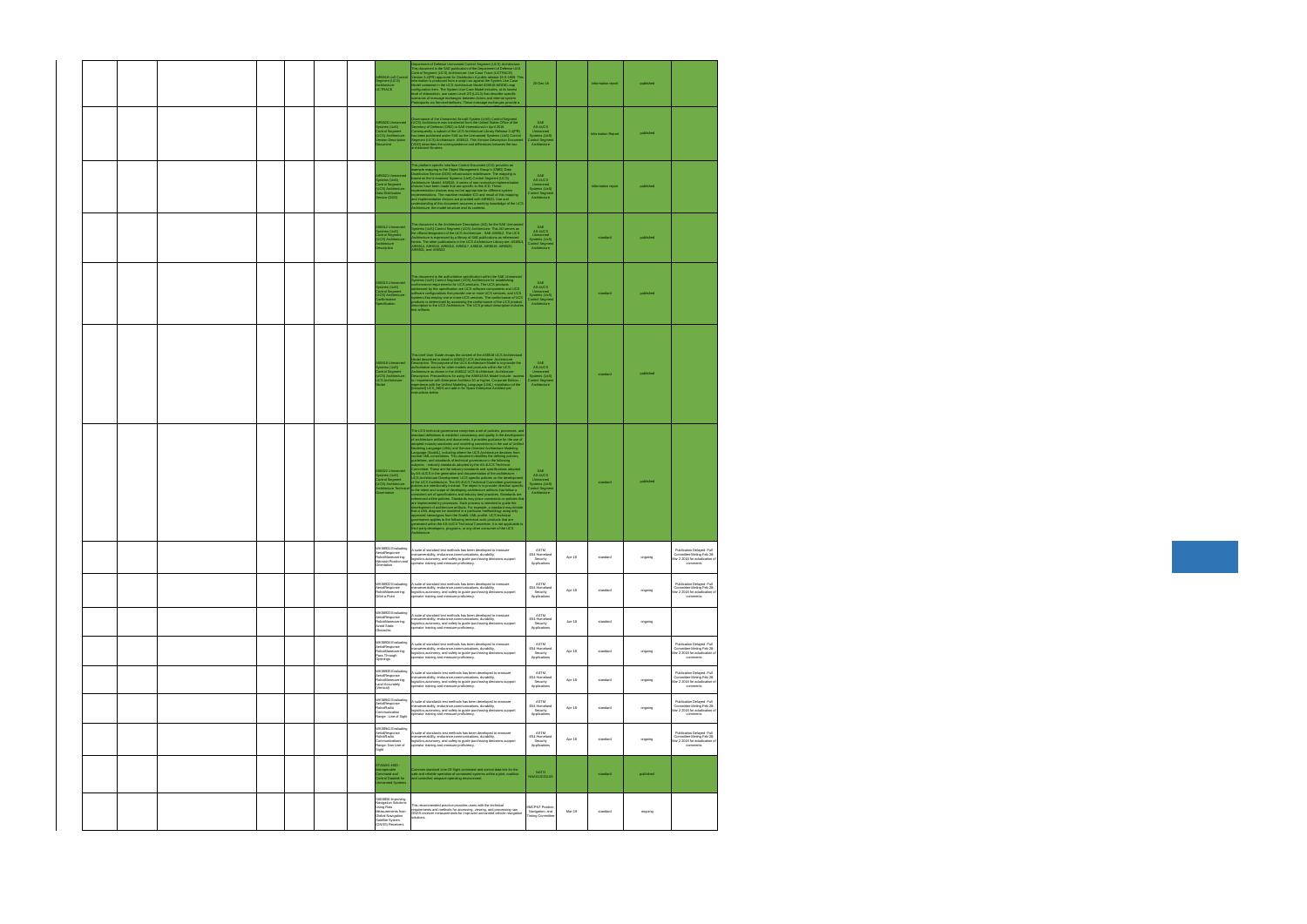|  |  |  |  | <b>IR6519 UxS Control</b><br>Segment (UCS)<br><b>ICTRACE</b>                                                                             | rne Ose Case Trace (OCTRACE) is SAE publication Alros 19 of the<br>Department of Defense Unmanned Control Segment (UCS) Architecture.<br>This document is the SAE publication of the Department of Defense UAS<br>This document is in Soviet Date and Schwartz and Schwartz (UCS) Architecture: Use Case Trace (UCTRACE)<br>Control Segment (UCS) Architecture: Use Case Trace (UCTRACE)<br>Weision 3.4(PR) approved for Distribution A public relate<br>cenarios of message exchanges between Actors and internal system<br>Participants via ServiceInterfaces. These message exchanges provide a                                                                                                                                                                                                                                                                                                                                                                                                                                                                                                                                                                                                                                                                                                                                                                                                                                                                                                                                                                                                                                                                             | 20-Dec-16                                                                      |          | information report | published |                                                                                                     |
|--|--|--|--|------------------------------------------------------------------------------------------------------------------------------------------|--------------------------------------------------------------------------------------------------------------------------------------------------------------------------------------------------------------------------------------------------------------------------------------------------------------------------------------------------------------------------------------------------------------------------------------------------------------------------------------------------------------------------------------------------------------------------------------------------------------------------------------------------------------------------------------------------------------------------------------------------------------------------------------------------------------------------------------------------------------------------------------------------------------------------------------------------------------------------------------------------------------------------------------------------------------------------------------------------------------------------------------------------------------------------------------------------------------------------------------------------------------------------------------------------------------------------------------------------------------------------------------------------------------------------------------------------------------------------------------------------------------------------------------------------------------------------------------------------------------------------------------------------------------------------------|--------------------------------------------------------------------------------|----------|--------------------|-----------|-----------------------------------------------------------------------------------------------------|
|  |  |  |  | AIR6520 Unmanned<br>Systems (UxS)<br>Control Segment<br>(UCS) Architecture:<br>ersion Description<br>ocument                             | wernance of the Unmanned Aircraft System (UAS) Control Segment<br>Construction and transferred from the United States Officer of the OCCS Architecture was transferred from the United States Office of the Secretary of Delenae OSO) is SAE International in April 2015.<br>Consequently, a subset<br>VDD) describes the correspondence and differences between the two<br>chitecture libraries.                                                                                                                                                                                                                                                                                                                                                                                                                                                                                                                                                                                                                                                                                                                                                                                                                                                                                                                                                                                                                                                                                                                                                                                                                                                                              | SAF<br>AS-4UCS<br>Unmanned<br>Systems (UxS)<br>Control Segme<br>Architecture   |          | Information Report | published |                                                                                                     |
|  |  |  |  | IR6521 Unmanned<br>Systems (UxS)<br>Control Segment<br>UCS) Architecture:<br>ata Distribution<br>ervice (DDS)                            | This platform specific Interface Control Document (ICD) provides an<br>rms passonm specime interiors communications (policy processes)<br>example mapping to the Object Management Group's (OMG) Data<br>Distribution Service (DDS) infrastructure middleware. The mapping is<br>reserved on the Unmanned Systems (UxS) Control Segment (UCS)<br>schitecture: Model, AS6518. A series of non-normative implement<br>hoices have been made that are specific to this ICD. These<br>ion choices may not be appropriate for different system<br>lementations. The machine readable ICD and result of this mapping<br>ind implementation choices are provided with AIR6521. Use and<br>understanding of this document assumes a working knowledge of the UCS<br>Architecture, the model structure and its contents.                                                                                                                                                                                                                                                                                                                                                                                                                                                                                                                                                                                                                                                                                                                                                                                                                                                                | SAE<br>AS-4UCS<br>Unmanned<br>Systems (UxS)<br>Control Segmen<br>Architecture  |          | information report | published |                                                                                                     |
|  |  |  |  | AS6512 Unmanned<br>Systems (UxS)<br>Control Segment<br>(UCS) Architecture:<br>chitecture<br>escription                                   | This document is the Architecture Description (AD) for the SAE Unmanne<br>Systems (UxS) Control Segment (UCS) Architecture. This AD serves as<br>Systems (Source of the UCS Architecture - SAE AS6512. The UCS<br>Architecture is expressed by a library of SAE publications as referenced<br>Architecture is expressed by a library of SAE publications as referenced<br>nerein. The ot<br><b>MR6521, and AS6522.</b>                                                                                                                                                                                                                                                                                                                                                                                                                                                                                                                                                                                                                                                                                                                                                                                                                                                                                                                                                                                                                                                                                                                                                                                                                                                         | SAF<br>AS-4UCS<br>Mariadea<br>Systems (UxS)<br>Control Segment<br>Architecture |          | standard           | published |                                                                                                     |
|  |  |  |  | AS6513 Unmanned<br>Systems (UxS)<br>Control Segment<br><b>JCS)</b> Architecture:<br>onformance<br>pecification                           | This document is the authoritative specification within the SAE Unmanned<br>The socialistics Control Segment (UCS) Architecture for establishing<br>Systems (UxS) Control Segment (UCS) Architecture for establishing<br>addressed by this specification are UCS products. The UCS products<br>addressed by this sp<br>somewhere computations are provided as the conduct of the systems that employ one or more UCS services. The conformance of UCS products is determined by assessing the conformance of the UCS product description to the UCS A                                                                                                                                                                                                                                                                                                                                                                                                                                                                                                                                                                                                                                                                                                                                                                                                                                                                                                                                                                                                                                                                                                                          | SAF<br>AS-4UCS<br>Unmanned<br>Systems (UxS)<br>Control Segmen<br>Architecture  |          | standard           | published |                                                                                                     |
|  |  |  |  | AS6518 Unmanned<br>Systems (UxS)<br>Control Segment<br>(UCS) Architecture:<br>UCS Architecture<br>odel                                   | This brief User Guide recaps the content of the AS6518 UCS Architectural<br>Adel described in detail in AS6512 UCS Architecture: Architecture<br>escription. The purpose of the UCS Architecture Model is to provide the<br>thoritative source for other models and products within the UCS<br>rchitecture as shown in the AS6512 UCS Architecture: Architecture<br>Neutron De Conditions for using the AS6518 EA Model include: -accessibility. Precentations for using the AS6518 EA Model include: -accessibility. Precentations for using the AS6518 EA Model include: -accessibility. Control<br>structions helow                                                                                                                                                                                                                                                                                                                                                                                                                                                                                                                                                                                                                                                                                                                                                                                                                                                                                                                                                                                                                                                         | SAF<br>AS-4UCS<br>Unmanned<br>Systems (UxS)<br>Control Segmen<br>Architecture  |          | standard           | published |                                                                                                     |
|  |  |  |  | S6522 Unmanned<br>ystems (UxS)<br>:<br>Control Segment<br>UCS) Architecture:<br>rchitecture Technical<br>iovernance                      | The UCS technical governance comprises a set of policies, processes, an<br>standard definitions to establish consistency and quality in the developmer of architecture artifacts and documents. It provides guidance for the use of<br>Continuous continuous continuous continuous protections in the use of Unified Adolesing Language (UML) and Service Oriented Architecture Modeling Canadia Language (SoaML), including where the UCS Architecture educates from<br>guidelines, and standards of technical governance in the following<br>subjects: - Industry standards adopted by the AS-4UCS Technical<br>Committee: These are the industry standards and specifications adopted<br>by AS-4UCS in the generation and documentation of the architecture.<br>by activation the representation to an obtained to the activation of the UCS Architecture Development UCS specific policies on the development of the UCS Architecture. The AS-4UCS Technical committee governance policies ar<br>consistent set of specifications and industry best practices. Standards are<br>eferenced within policies. Standards may place constraints on policies th<br>are implemented by processes. Each process is intended to guide the development of architecture artifacts. For example, a standard may dicta<br>that a UML diagram be modeled in a particular methodology using only<br>approved stereotypes from the SoaML UML profile. UCS technical<br>overnance applies to the following technical work products that are<br>enerated within the AS-4UCS Technical Committee. It is not applicable t<br>hird party developers, programs, or any other consumer of the UCS | AS-4UCS<br>Unmanned<br>Systems (UxS)<br>Control Segmen<br>Architecture         |          | standard           | published |                                                                                                     |
|  |  |  |  | WK58931 Evaluating<br>AerialResnon<br>RobotManeuvering:<br>Maintain Position and<br>Orientation                                          | suite of standard test methods has been developed to me<br>manueverability, endurance, communications, durability,<br>logisitics,autonomy, and safety to guide purchasing decisions,support<br>operator training and measure proficiency.                                                                                                                                                                                                                                                                                                                                                                                                                                                                                                                                                                                                                                                                                                                                                                                                                                                                                                                                                                                                                                                                                                                                                                                                                                                                                                                                                                                                                                      | <b>ASTM</b><br>E54 Homeland<br>Security<br>Applications                        | Apr-18   | standard           | ongoing   | Publication Delaved -Full<br>Committee Meting Feb 28-<br>Mar 2 2018 for adudication of<br>comments  |
|  |  |  |  | WK58932 Evaluating<br>AerialResponse<br>RobotManeuvering:<br>Orbit a Point                                                               | A suite of standard test methods has been developed to measure<br>manueverability, endurance, communications, durability,<br>logisitics,autonomy, and safety to guide purchasing decisions,support<br>pperator training and measure proficiency.                                                                                                                                                                                                                                                                                                                                                                                                                                                                                                                                                                                                                                                                                                                                                                                                                                                                                                                                                                                                                                                                                                                                                                                                                                                                                                                                                                                                                               | <b>ASTM</b><br>E54 Homeland<br>Security<br>Applications                        | Apr-18   | standard           | ongoing   | Publication Delayed - Full<br>Committee Meting Feb 28-<br>Mar 2 2018 for adudication of<br>comments |
|  |  |  |  | WK58933 Evaluating<br>erialResponse<br>RobotManeuvering:<br>Avoid Static<br>Obstacles                                                    | suite of standard test methods has been developed to measure<br>nanueverability, endurance,communications, durability,<br>ogisitics,autonomy, and safety to guide purchasing decisions,support<br>pperator training and measure proficiency.                                                                                                                                                                                                                                                                                                                                                                                                                                                                                                                                                                                                                                                                                                                                                                                                                                                                                                                                                                                                                                                                                                                                                                                                                                                                                                                                                                                                                                   | <b>ASTM</b><br>E54 Homeland<br>Security<br>Applications                        | $Jun-18$ | standard           | ongoing   |                                                                                                     |
|  |  |  |  | WK58934 Evaluating<br>AerialResponse<br>RobotManeuvering:<br>Pass Through<br>Openings                                                    | a suite of standard test methods has been developed to measure<br>nanueverability, endurance,communications, durability,<br>logisitics,autonomy, and safety to guide purchasing decisions,support<br>poerator training and measure proficiency.                                                                                                                                                                                                                                                                                                                                                                                                                                                                                                                                                                                                                                                                                                                                                                                                                                                                                                                                                                                                                                                                                                                                                                                                                                                                                                                                                                                                                                | <b>ASTM</b><br>E54 Homeland<br>Security<br>Applications                        | Apr-18   | standard           | ongoing   | Publication Delayed - Full<br>Committee Meting Feb 28-<br>Mar 2 2018 for adudication of<br>comments |
|  |  |  |  | WK58935 Evaluating<br>AerialResponse<br>RobotManeuvering:<br>Land Accurately<br>vertical)<br>VK58942 Evaluating                          | suite of standards test methods has been developed to measure<br>nanueverability, endurance,communications, durability,<br>logisitics,autonomy, and safety to guide purchasing decisions,support<br>perator training and measure proficiency.                                                                                                                                                                                                                                                                                                                                                                                                                                                                                                                                                                                                                                                                                                                                                                                                                                                                                                                                                                                                                                                                                                                                                                                                                                                                                                                                                                                                                                  | $\mathsf{ASTM}\xspace$<br>E54 Homeland<br>Security<br>Applications             | Apr-18   | standard           | ongoing   | Publication Delayed - Full<br>Committee Meting Feb 28-<br>Mar 2 2018 for adudication of<br>comments |
|  |  |  |  | AerialResponse<br>RobotRadio<br>Communication<br>Range : Line of Sight<br>WK58941 Evaluating                                             | A suite of standards test methods has been developed to measure<br>nanueverability, endurance,communications, durability,<br>logisitics,autonomy, and safety to guide purchasing decisions,support<br>perator training and measure proficiency.                                                                                                                                                                                                                                                                                                                                                                                                                                                                                                                                                                                                                                                                                                                                                                                                                                                                                                                                                                                                                                                                                                                                                                                                                                                                                                                                                                                                                                | $\mathsf{ASTM}\xspace$<br>E54 Homeland<br>Security<br>Applications             | Apr-18   | standard           | ongoing   | Publication Delayed -Full<br>Committee Meting Feb 28-<br>Mar 2 2018 for adudication of<br>comments  |
|  |  |  |  | AerialResponse<br>RobotRadio<br>Communications<br>Range: Non Line of<br>Sight                                                            | A suite of standards test methods has been developed to measure<br>nanueverability, endurance,communications, durability,<br>logisitics,autonomy, and safety to guide purchasing decisions,support<br>erator training and measure proficiency.                                                                                                                                                                                                                                                                                                                                                                                                                                                                                                                                                                                                                                                                                                                                                                                                                                                                                                                                                                                                                                                                                                                                                                                                                                                                                                                                                                                                                                 | $\mathsf{ASTM}\xspace$<br>E54 Homeland<br>Security<br>Applications             | Apr-18   | standard           | ongoing   | Publication Delayed -Full<br>Committee Meting Feb 28-<br>Mar 2 2018 for adudication of<br>comments  |
|  |  |  |  | <b>TANAG 4660 -</b><br>teroperable<br>ommand and<br>ontrol Datalink for<br>nmanned Systems                                               | Common standard Line-Of-Sight command and control data link for the<br>iafe and reliable operation of unmanned systems within a joint, coalition<br>and controlled airspace operating environment.                                                                                                                                                                                                                                                                                                                                                                                                                                                                                                                                                                                                                                                                                                                                                                                                                                                                                                                                                                                                                                                                                                                                                                                                                                                                                                                                                                                                                                                                             | NATO<br>NNAG/JCGUAS                                                            |          | standard           | published |                                                                                                     |
|  |  |  |  | SAE6856 Improving<br>Navigation Solutions<br>Using Raw<br>Measurements from<br>Global Navigation<br>Satellite System<br>(GNSS) Receivers | This recommended practice provides users with the technical<br>equirements and methods for accessing, viewing, and processing raw<br>GNSS receiver measurements for improved unmanned vehicle navigation<br>olutions.                                                                                                                                                                                                                                                                                                                                                                                                                                                                                                                                                                                                                                                                                                                                                                                                                                                                                                                                                                                                                                                                                                                                                                                                                                                                                                                                                                                                                                                          | <b>SMCPNT Position</b><br>Navigation, and<br>Timing Committe                   | Mar-19   | standard           | ongoing   |                                                                                                     |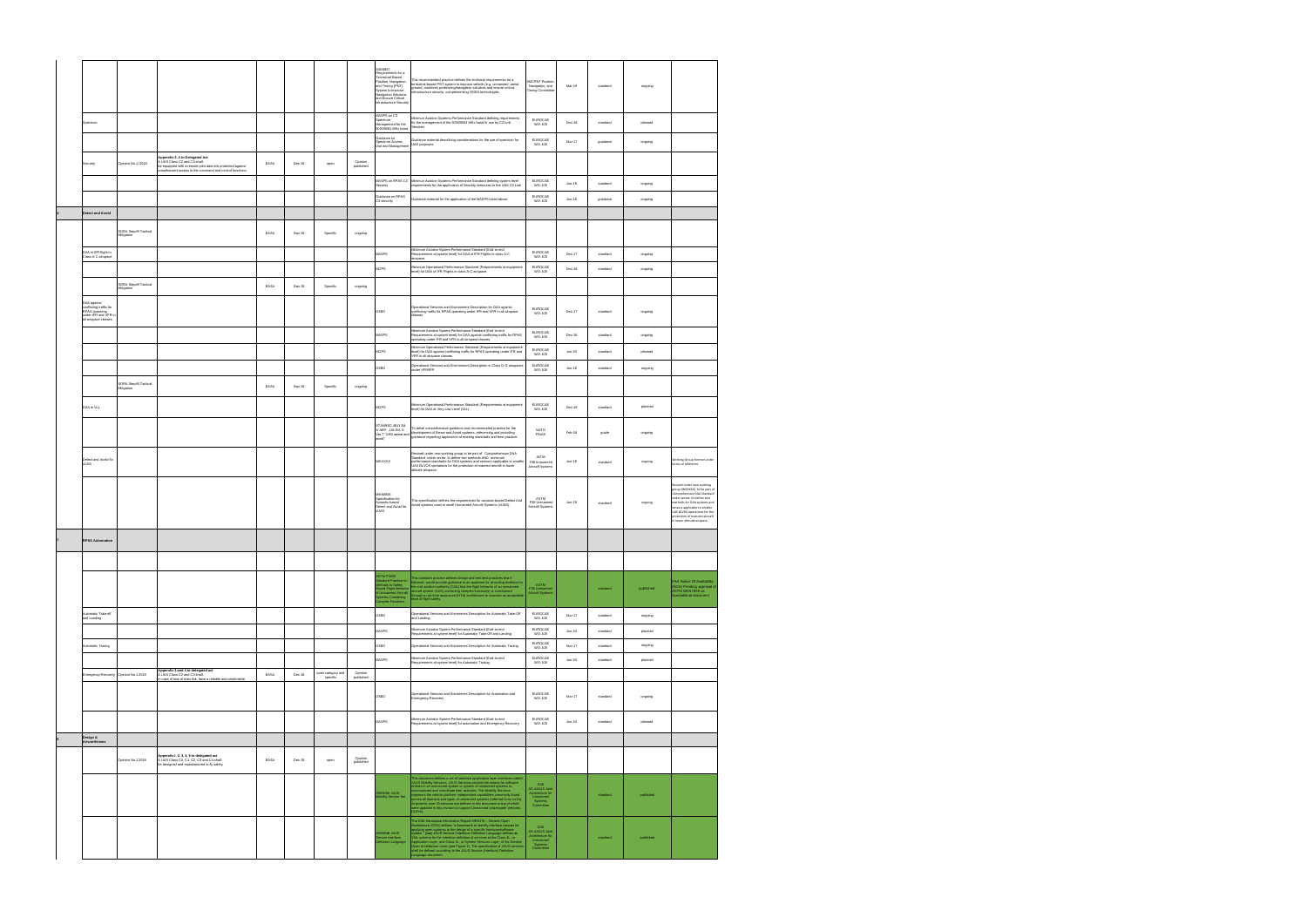|  |                                                                                          |                                    |                                                                                                                                                                                           |      |        |                               |                      | SAE6857<br>Requirements for a<br>Terrestrial Based<br>osition, Navigation<br>and Timing (PNT)<br>System to Improve<br>Navigation Solutions<br>and Ensure Critical<br>nfrastructure Securit | This recommended practice defines the technical requirements for a<br>errestrial-based PNT system to improve vehicle (e.g. unmanned, aerial,<br>ground, maritime) positioning/navigation solutions and ensure critical<br>frastructure security, complementing GNSS technologies.                                        | <b>SMCPNT Position</b><br>Navigation, and<br>Timing Committee                 | Mar-19   | standard | ongoing   |                                                                                                                                                                                                                                                                                    |
|--|------------------------------------------------------------------------------------------|------------------------------------|-------------------------------------------------------------------------------------------------------------------------------------------------------------------------------------------|------|--------|-------------------------------|----------------------|--------------------------------------------------------------------------------------------------------------------------------------------------------------------------------------------|--------------------------------------------------------------------------------------------------------------------------------------------------------------------------------------------------------------------------------------------------------------------------------------------------------------------------|-------------------------------------------------------------------------------|----------|----------|-----------|------------------------------------------------------------------------------------------------------------------------------------------------------------------------------------------------------------------------------------------------------------------------------------|
|  | Spectrum                                                                                 |                                    |                                                                                                                                                                                           |      |        |                               |                      | MASPS on C3<br>Spectrum<br>lanagement for the<br>5030/5091 MHz hand                                                                                                                        | finimun Aviation Systems Performance Standard defining requirements<br>or the management of the 5030/5091 MHz band fir use by C2 Link<br>Services                                                                                                                                                                        | <b>EUROCAE</b><br><b>WG-105</b>                                               | Dec-18   | standard | planned   |                                                                                                                                                                                                                                                                                    |
|  |                                                                                          |                                    |                                                                                                                                                                                           |      |        |                               |                      | Guidance on<br>Spectrum Access,<br>Use and Management                                                                                                                                      | Guidance material describing considerations for the use of spectrum for<br>UAS purposes                                                                                                                                                                                                                                  | <b>EUROCAE</b><br><b>WG-105</b>                                               | Nov-17   | guidance | ongoing   |                                                                                                                                                                                                                                                                                    |
|  | Security                                                                                 | Opinion No.1 /2018                 | Appendix 3, 4 to Delegated Act<br>A UAS Class C2 and C3 shall:<br>be equipped with a remote pilot data link protected against<br>nauthorised access to the command and control functions; | EASA | Dec-18 | open                          | Opinion<br>published |                                                                                                                                                                                            |                                                                                                                                                                                                                                                                                                                          |                                                                               |          |          |           |                                                                                                                                                                                                                                                                                    |
|  |                                                                                          |                                    |                                                                                                                                                                                           |      |        |                               |                      | MASPS on RPAS C3<br>ecurity                                                                                                                                                                | Minimun Aviation Systems Performance Standard defining system level<br>equirements for the application of Security measures to the UAS C3 Link                                                                                                                                                                           | <b>EUROCAE</b><br>WG-105                                                      | $Jun-19$ | standard | ongoing   |                                                                                                                                                                                                                                                                                    |
|  |                                                                                          |                                    |                                                                                                                                                                                           |      |        |                               |                      | Suidance on RPAS<br>C3 security                                                                                                                                                            | Guidance material for the application of the MASPS listed above                                                                                                                                                                                                                                                          | EUROCAE<br>WG-105                                                             | $Jun-18$ | quidance | ongoing   |                                                                                                                                                                                                                                                                                    |
|  | Detect and Avoid                                                                         |                                    |                                                                                                                                                                                           |      |        |                               |                      |                                                                                                                                                                                            |                                                                                                                                                                                                                                                                                                                          |                                                                               |          |          |           |                                                                                                                                                                                                                                                                                    |
|  |                                                                                          | SORA Step#9 Tactical<br>Mitigation |                                                                                                                                                                                           | EASA | Sep-18 | Specific                      | ongoing              |                                                                                                                                                                                            |                                                                                                                                                                                                                                                                                                                          |                                                                               |          |          |           |                                                                                                                                                                                                                                                                                    |
|  | DAA in IFR flight in<br>Class A-C airspace                                               |                                    |                                                                                                                                                                                           |      |        |                               |                      | MASPS                                                                                                                                                                                      | Minimum Aviation System Performance Standard (End-to-end<br>Requirements at system level) for DAA of IFR Flights in class A-C                                                                                                                                                                                            | <b>EUROCAE</b><br><b>WG-105</b>                                               | Dec-17   | standard | ongoing   |                                                                                                                                                                                                                                                                                    |
|  |                                                                                          |                                    |                                                                                                                                                                                           |      |        |                               |                      | MOPS                                                                                                                                                                                       | airspace.<br>Minimum Operational Performance Standard (Requirements at equipment<br>evel) for DAA of IFR Flights in class A-C airspace.                                                                                                                                                                                  | EUROCAE<br><b>WG-105</b>                                                      | Dec-18   | standard | ongoing   |                                                                                                                                                                                                                                                                                    |
|  |                                                                                          | SORA Step#9 Tactical               |                                                                                                                                                                                           | EASA | Sep-18 | Specific                      | ongoing              |                                                                                                                                                                                            |                                                                                                                                                                                                                                                                                                                          |                                                                               |          |          |           |                                                                                                                                                                                                                                                                                    |
|  | DAA against                                                                              | Mitigation                         |                                                                                                                                                                                           |      |        |                               |                      |                                                                                                                                                                                            |                                                                                                                                                                                                                                                                                                                          |                                                                               |          |          |           |                                                                                                                                                                                                                                                                                    |
|  | conflicting traffic for<br>RPAS operating<br>under IFR and VFR i<br>all airspace classes |                                    |                                                                                                                                                                                           |      |        |                               |                      | OSED                                                                                                                                                                                       | Operational Services and Environment Description for DAA against<br>conflicting traffic for RPAS operating under IFR and VFR in all airspace<br>lasses                                                                                                                                                                   | <b>EUROCAE</b><br><b>WG-105</b>                                               | Dec-17   | standard | ongoing   |                                                                                                                                                                                                                                                                                    |
|  |                                                                                          |                                    |                                                                                                                                                                                           |      |        |                               |                      | MASPS                                                                                                                                                                                      | Minimum Aviation System Performance Standard (End-to-end<br>Requirements at system level) for DAA against conflicting traffic for RPAS<br>operating under IFR and VFR in all airspace classes                                                                                                                            | <b>EUROCAE</b><br><b>WG-105</b>                                               | Dec-18   | standard | ongoing   |                                                                                                                                                                                                                                                                                    |
|  |                                                                                          |                                    |                                                                                                                                                                                           |      |        |                               |                      | MOPS                                                                                                                                                                                       | Minimum Operational Performance Standard (Requirements at equipment<br>level) for DAA against conflicting traffic for RPAS operating under IFR and<br>VFR in all airspace classes                                                                                                                                        | <b>EUROCAE</b><br>WG-105                                                      | $Jun-20$ | standard | planned   |                                                                                                                                                                                                                                                                                    |
|  |                                                                                          |                                    |                                                                                                                                                                                           |      |        |                               |                      | OSED                                                                                                                                                                                       | Operational Services and Environment Description in Class D-G airspaces<br>nder VFR/IFR                                                                                                                                                                                                                                  | <b>EUROCAE</b><br><b>WG-105</b>                                               | $Jun-18$ | standard | ongoing   |                                                                                                                                                                                                                                                                                    |
|  |                                                                                          | SORA Step#9 Tactical<br>Mitigation |                                                                                                                                                                                           | EASA | Sep-18 | Specific                      | ongoing              |                                                                                                                                                                                            |                                                                                                                                                                                                                                                                                                                          |                                                                               |          |          |           |                                                                                                                                                                                                                                                                                    |
|  | DAA in VLL                                                                               |                                    |                                                                                                                                                                                           |      |        |                               |                      | <b>MOPS</b>                                                                                                                                                                                | Minimum Operational Performance Standard (Requirements at equipment<br>wel) for DAA at Very Low Level (VLL)                                                                                                                                                                                                              | EUROCAE<br><b>WG-105</b>                                                      | Dec-19   | standard | planned   |                                                                                                                                                                                                                                                                                    |
|  |                                                                                          |                                    |                                                                                                                                                                                           |      |        |                               |                      | STANREC 4811 Ed.                                                                                                                                                                           |                                                                                                                                                                                                                                                                                                                          |                                                                               |          |          |           |                                                                                                                                                                                                                                                                                    |
|  |                                                                                          |                                    |                                                                                                                                                                                           |      |        |                               |                      | 1/ AEP-. 101 Ed. A<br>Ver.1 "UAS sense and<br>void"                                                                                                                                        | o detail comprehensive guidance and recommended practice for the<br>levelopment of Sense and Avoid systems, referencing and providing<br>guidance regarding application of existing standards and best practice.                                                                                                         | <b>NATO</b><br><b>FINAS</b>                                                   | Feb-18   | quide    | ongoing   |                                                                                                                                                                                                                                                                                    |
|  | Detect and Avoid for<br>sUAS                                                             |                                    |                                                                                                                                                                                           |      |        |                               |                      | WKXXXX                                                                                                                                                                                     | Revised under new working group to be part of Comprehensive DAA<br>Standard under annex to define test methods AND minimum<br>erformance standards for DAA systems and sensors applicable to smalle<br>UAS BLVOS operations for the protection of manned aircraft in lower<br>ltitude airspace                           | ASTM<br>F38 Unmanned<br>Aircraft Systems                                      | $Jun-19$ | standard | ongoing   | Working Group formed under<br>terms of reference                                                                                                                                                                                                                                   |
|  |                                                                                          |                                    |                                                                                                                                                                                           |      |        |                               |                      | WK60936<br>Specification for<br>coustic-based<br>Detect and Avoid for<br>sUAS                                                                                                              | This specification defines the requirements for acoustic-based Detect And<br>Avoid systems used in small Unmanned Aircraft Systems (sUAS).                                                                                                                                                                               | $\mathsf{ASTM}\xspace$<br>F38 Unmanned<br>Aircraft Systems                    | Jun-19   | standard | ongoing   | evised under new working<br>group (WKXXXX) to be part of<br>Comprehensive DAA Standard<br>under annex to define test<br>nethods for DAA systems and<br>ensors applicable to smaller<br>UAS BLVOS operations for the<br>protection of manned aircraft<br>n lower altitude airspace. |
|  | <b>RPAS Automation</b>                                                                   |                                    |                                                                                                                                                                                           |      |        |                               |                      |                                                                                                                                                                                            |                                                                                                                                                                                                                                                                                                                          |                                                                               |          |          |           |                                                                                                                                                                                                                                                                                    |
|  |                                                                                          |                                    |                                                                                                                                                                                           |      |        |                               |                      |                                                                                                                                                                                            |                                                                                                                                                                                                                                                                                                                          |                                                                               |          |          |           |                                                                                                                                                                                                                                                                                    |
|  |                                                                                          |                                    |                                                                                                                                                                                           |      |        |                               |                      | <b>STM F3269</b><br>andard Practice for<br>Mahala of Tradector<br>Methods to Safely<br>Bound Flight Behavior<br>Systems Containing<br>omplex Functions                                     | This standard practice defines design and test best practices that if<br>followed, would provide guidance to an applicant for providing evidence to<br>the civil aviation authority (CAA) that the flight behavior of an urmanned<br>ai<br>level of flight safety.                                                       | <b>ASTM</b><br>F38 Unmanned<br>Aircraft Systems                               |          | standard | published | FAA Notice Of Availability<br>(NOA) Pending approval of<br>ASTM WK57659 as<br>hundational document                                                                                                                                                                                 |
|  | Automatic Take-off<br>and Landing                                                        |                                    |                                                                                                                                                                                           |      |        |                               |                      | OSED                                                                                                                                                                                       | Operational Services and Enironment Description for Automatic Take-Off<br>and Landing.                                                                                                                                                                                                                                   | EUROCAE<br><b>WG-105</b>                                                      | Nov-17   | standard | ongoing   |                                                                                                                                                                                                                                                                                    |
|  |                                                                                          |                                    |                                                                                                                                                                                           |      |        |                               |                      | MASPS                                                                                                                                                                                      | Minimum Aviation System Performance Standard (End-to-end<br>Requirements at system level) for Automatic Take-Off and Landing                                                                                                                                                                                             | <b>EUROCAE</b><br>WG-105                                                      | Jun-20   | standard | planned   |                                                                                                                                                                                                                                                                                    |
|  | Automatic Taxiing                                                                        |                                    |                                                                                                                                                                                           |      |        |                               |                      | OSED                                                                                                                                                                                       | Operational Services and Enironment Description for Automatic Taxiing                                                                                                                                                                                                                                                    | <b>EUROCAE</b><br><b>WG-105</b>                                               | Nov-17   | standard | ongoing   |                                                                                                                                                                                                                                                                                    |
|  |                                                                                          |                                    | Appendix 3 and 4 to delegated act                                                                                                                                                         |      |        |                               |                      | MASPS                                                                                                                                                                                      | Minimum Aviation System Performance Standard (End-to-end<br>Requirements at system level) for Automatic Taxiing                                                                                                                                                                                                          | <b>EUROCAE</b><br>WG-105                                                      | $Jun-20$ | standard | planned   |                                                                                                                                                                                                                                                                                    |
|  | Emergency Recovery Opinion No.1 2018                                                     |                                    | A UAS Class C2 and C3 shall:<br>n case of loss of data link, have a reliable and predictable                                                                                              | EASA | Dec-18 | open category and<br>specific | Opinion<br>published |                                                                                                                                                                                            |                                                                                                                                                                                                                                                                                                                          |                                                                               |          |          |           |                                                                                                                                                                                                                                                                                    |
|  |                                                                                          |                                    |                                                                                                                                                                                           |      |        |                               |                      | OSED                                                                                                                                                                                       | Operational Services and Enironment Description for Automation and<br>Emergency Recovery                                                                                                                                                                                                                                 | EUROCAE<br><b>WG-105</b>                                                      | Nov-17   | standard | ongoing   |                                                                                                                                                                                                                                                                                    |
|  |                                                                                          |                                    |                                                                                                                                                                                           |      |        |                               |                      | <b>MASPS</b>                                                                                                                                                                               | Minimum Aviation System Performance Standard (End-to-end<br>Requirements at system level) for automation and Emergency Recovery                                                                                                                                                                                          | <b>EUROCAE</b><br><b>WG-105</b>                                               | $Jun-20$ | standard | planned   |                                                                                                                                                                                                                                                                                    |
|  | <b>Design &amp;<br/>Airworthiness</b>                                                    |                                    |                                                                                                                                                                                           |      |        |                               |                      |                                                                                                                                                                                            |                                                                                                                                                                                                                                                                                                                          |                                                                               |          |          |           |                                                                                                                                                                                                                                                                                    |
|  |                                                                                          | Opinion No.1 2018                  | Appendix I, 2, 3, 4, 5 to delegated act<br>A UAS Class C0, C1, C2, C3 and C4 shall:<br>e designed and manufactured to fly safely;                                                         | EASA | Dec-18 | open                          | Opinion<br>published |                                                                                                                                                                                            |                                                                                                                                                                                                                                                                                                                          |                                                                               |          |          |           |                                                                                                                                                                                                                                                                                    |
|  |                                                                                          |                                    |                                                                                                                                                                                           |      |        |                               |                      |                                                                                                                                                                                            | This document defines a set of standard application layer interfaces called<br>JAUS Mobility Services. JAUS Services provide the means for software entities in an unmanned system or system of unmanned systems to                                                                                                      | SAE<br>AS-4JAUS Joint                                                         |          |          |           |                                                                                                                                                                                                                                                                                    |
|  |                                                                                          |                                    |                                                                                                                                                                                           |      |        |                               |                      | <b>S6009A JAUS</b><br>fobility Service Set                                                                                                                                                 | enues nu arumanies de partir de la conditate their activities. The Mobility Services<br>communicate and coordinate their activities. The Mobility Services<br>represent the vehicle platform-independent capabilities commonly found<br>vere updated in this revision to support Unmanned Underwater Vehicles<br>(UUVs). | Architecture for<br>Unmanned<br>Systems<br>Committee                          |          | standard | published |                                                                                                                                                                                                                                                                                    |
|  |                                                                                          |                                    |                                                                                                                                                                                           |      |        |                               |                      | S5684B JAUS<br>Service Interface<br>Definition Language                                                                                                                                    | The SAE Aerospace Information Report AIR5315 – Generic Open<br>Architecture (GOA) defines "a framework to identify interface classes for<br>Language document.                                                                                                                                                           | SAE<br>AS-4JAUS Joint<br>Architecture for<br>Unmanned<br>Systems<br>Committee |          | standard | published |                                                                                                                                                                                                                                                                                    |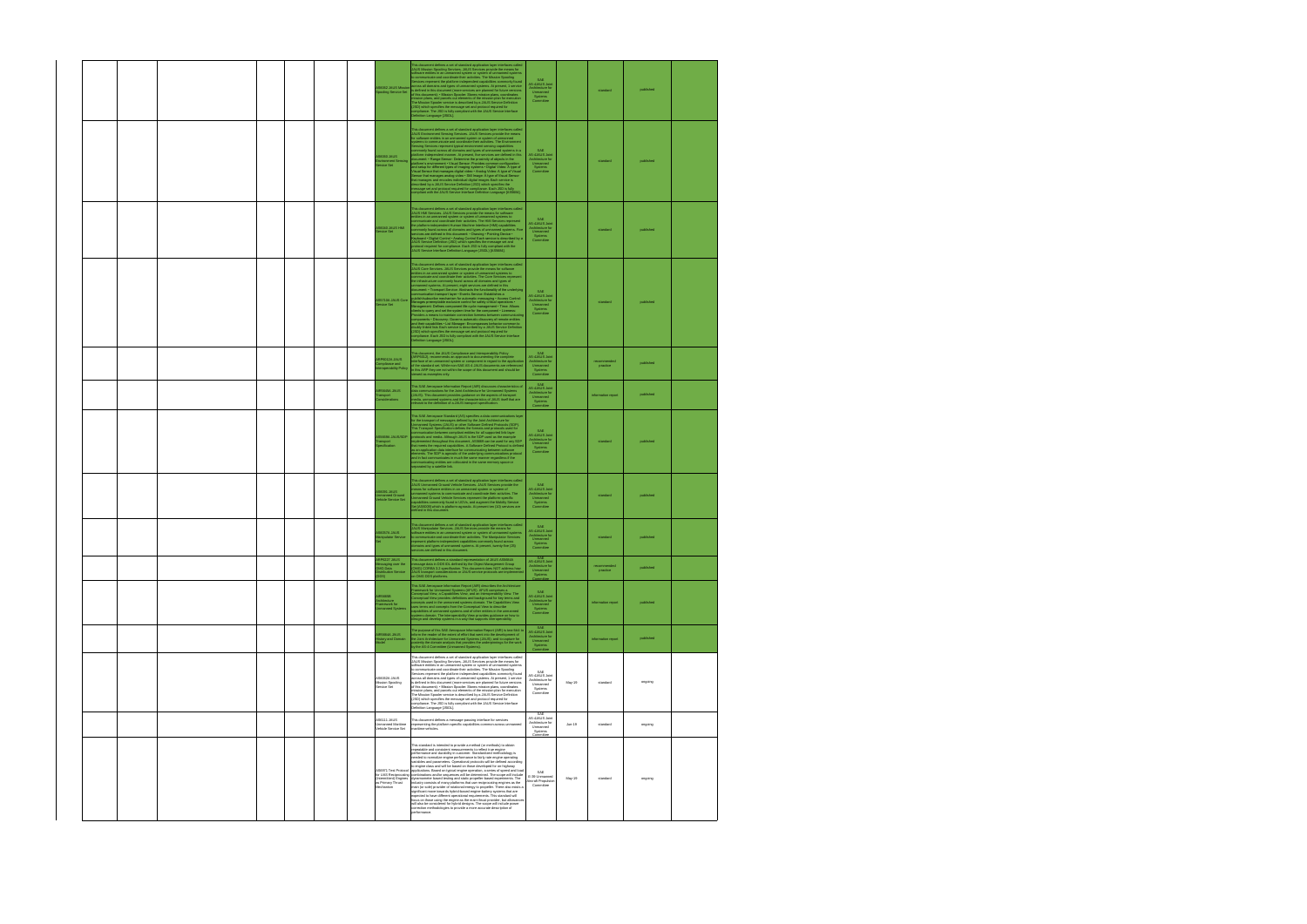|  |  |  |  | AS6062 JAUS Missio                                                                                        | This document defines a set of standard application layer interfaces called<br>JAUS Mission Spotoing Services. JAUS Services provide the means for<br>software entifies in an urmanned system or system of unmanned systems<br>to commu<br>station areas and contract and paid one in an atomic stations.<br>Services represent the platform-independent capabilities commonly found<br>SEORZ JAUS Mission across all domains and types of urmanned systems. At present, the se<br>The Mission Spooler service is described by a JAUS Service Definition<br>(JSD) which specifies the message set and protocol required for<br>compliance. The JSD is fully compliant with the JAUS Service Interface<br>compliance. The JSD is fully of<br>Definition Language [JSIDL].                                                                                                                                                                                                                                                                                                                                                                                                                                                                      | AS-4JAUS Join<br>Architecture for<br>Unmanned<br>Systems<br>Committee                |          | standard                | published |  |
|--|--|--|--|-----------------------------------------------------------------------------------------------------------|-----------------------------------------------------------------------------------------------------------------------------------------------------------------------------------------------------------------------------------------------------------------------------------------------------------------------------------------------------------------------------------------------------------------------------------------------------------------------------------------------------------------------------------------------------------------------------------------------------------------------------------------------------------------------------------------------------------------------------------------------------------------------------------------------------------------------------------------------------------------------------------------------------------------------------------------------------------------------------------------------------------------------------------------------------------------------------------------------------------------------------------------------------------------------------------------------------------------------------------------------|--------------------------------------------------------------------------------------|----------|-------------------------|-----------|--|
|  |  |  |  | <b>S6060 JAUS</b><br>nvironment Sen<br>ervice Set                                                         | This document defines a set of standard application layer interfaces called<br>JAUS Environment Sensing Services. JAUS Services provide the means<br>or software entities in an unmanned system or system of unmanned<br>ystems to communicate and coordinate their activities. The Environment<br>Sensing Services represent typical environment sensing capabilities<br>ommonly found across all domains and types of unmanned systems in a<br>commonly bund across at dominants and types at uniforms as platerns in a<br>gladient in exploration and the present, the services are defined in this<br>gladients environment - Al present, the services are defined in this<br>gladie<br>nessage set and protocol required for compliance. Each JSD is fully<br>compliant with the JAUS Service Interface Definition Language [AS5684].                                                                                                                                                                                                                                                                                                                                                                                                    | <b>SAE</b><br>AS-4JAUS Joint<br>Architecture for<br>Unmanned<br>Systems<br>Committee |          | standard                | published |  |
|  |  |  |  | IMH 2UAL 0003A<br>ervice Set                                                                              | his document defines a set of standard application layer interfaces called<br>JAUS HMI Services. JAUS Services provide the means for software entities in an unmanned system or system of unmanned systems to communicate and coordinate their activities. The HMI Services represent<br>he platform-independent Human Machine Interface (HMI) capabilities<br>to produce the product in the access all domains and types of unmanned systems. Five<br>commonly found across all domains and types of unmanned systems. Five<br>keyboard - Digital Control - Analog Control Each service is describ<br>JAUS Service Definition (JSD) which specifies the message set and<br>protocol required for compliance. Each JSD is fully compliant with the<br>JAUS Service Interface Definition Language (JSIDL) [AS5684].                                                                                                                                                                                                                                                                                                                                                                                                                            | AS-4JAUS Joint<br>Architecture for<br>Unmanned<br>Systems                            |          | standard                | published |  |
|  |  |  |  | AS5710A JAUS Core<br>Service Set                                                                          | This document defines a set of standard application layer interfaces called<br>JAUS Core Services. JAUS Services provide the means for software<br>entities in an unmanned system or system of unmanned systems to<br>communicate and coordinate their activities. The Core Services represent<br>he infrastructure commonly found across all domains and types of<br>the innestimative communication of the state of the state of the state contents of the contents of the state of the state of the state of the state of the state contents of the state contents of the state contents of the<br>rovides a means to maintain connection liveness between communicati<br>components - Discovery. Governs automatic discovery of remote entities<br>and their capabilities - List Manager: Encompasses behavior common to<br>soubly linked lists Each service is described by a JAUS Service Definition<br>(JSD) which specifies the message set and protocol required for<br>compliance. Each JSD is fully compliant with the JAUS Service Interface<br>efinition Language [JSIDL].                                                                                                                                                       | <b>SAE</b><br>AS-4JAUS Join<br>Architecture for<br>Unmanned<br>Systems<br>Committee  |          | standard                | published |  |
|  |  |  |  | ARP6012A JAUS<br>ompliance and<br>rahility Polis                                                          | This document, the JAUS Compliance and Interoperability Policy<br>(ARP6012), recommends an approach to documenting the complete<br>interface of an unmanned system or component in regard to the application<br>of the standard set. Wh<br>this ARP they are not within the scope of this document and should be<br>ewed as examples only.                                                                                                                                                                                                                                                                                                                                                                                                                                                                                                                                                                                                                                                                                                                                                                                                                                                                                                    | AS-4JAUS Joint<br>Architecture for<br>Unmanned<br>Systems<br>Committee               |          | practice                | published |  |
|  |  |  |  | AIR5645A JAUS<br><sup>-</sup> ransport<br>Considerations                                                  | his SAE Aerospace Information Report (AIR) discusses characteristics of<br>ata communications for the Joint Architecture for Unmanned Systems<br>JAUS). This document provides guidance on the aspects of transport nedia, unmanned systems and the characteristics of JAUS itself that are elevant to the definition of a JAUS transport specification.                                                                                                                                                                                                                                                                                                                                                                                                                                                                                                                                                                                                                                                                                                                                                                                                                                                                                      | SAF<br>AS-4JAUS Joint<br>Architecture for<br>Unmanned<br>Systems<br>Committee        |          | information report      | published |  |
|  |  |  |  | AS5669A JAUS/SDP<br>Transport<br>Specification                                                            | his SAE Aerospace Standard (AS) specifies a data communications layer<br>for the transport of messages defined by the Joint Architecture for<br>Unmanned Systems (JAUS) or other Software Defined Protocols (SDP).<br>owa.<br>This Transport Specification defines the formals and protocols used for<br>communication between complications the largest of all supports links they<br>protocols and media. Almough JAUS is the SDP used as the example<br>probl<br>als intensi sure requires capabilities. A solution explicit of the property and as an application data interface for communicating between software elements. The SDP is agrostic of the underlying communications protocondin<br>eparated by a satellite link.                                                                                                                                                                                                                                                                                                                                                                                                                                                                                                           | AS-4JAUS Joint<br>Architecture for<br>Unmanned<br>Systems<br>Committee               |          | standard                | published |  |
|  |  |  |  | <b>AS6091 JAUS</b><br>nmanned Ground<br>shicle Service Set                                                | .<br>This document defines a set of standard application layer interfaces called<br>IAUS Unmanned Ground Vehicle Services. JAUS Services provide the<br>heans for software entities in an unmanned system or system of<br>nmanned systems to communicate and coordinate their activities. The<br>Unmanned Ground Vehicle Services represent the platform-specific<br>capabilities commonly found in UGVs, and augment the Mobilty Service<br>Set [AS6009] which is platform-agnostic. At present ten (10) services are<br>efined in this document.                                                                                                                                                                                                                                                                                                                                                                                                                                                                                                                                                                                                                                                                                            | AS-4JAUS Joint<br>Architecture for<br>Unmanned<br>Systems<br>Committee               |          | standard                | published |  |
|  |  |  |  | S6057A JAUS<br>fanioulator Service                                                                        | This document defines a set of standard application layer interfaces called<br>JAUS Manipulator Services. JAUS Services provide the means for<br>software entifies in an ummaned system or system of ummanned systems<br>to communicate<br>epresent platform-independent capabilities commonly found across<br>comains and types of unmanned systems. At present, twenty-five (25)<br>ervices are defined in this document.                                                                                                                                                                                                                                                                                                                                                                                                                                                                                                                                                                                                                                                                                                                                                                                                                   | AS-4JAUS Joint<br>Architecture for<br>Unmanned<br>Systems<br>Committee               |          | standard                | published |  |
|  |  |  |  | RP6227 JAUS<br>ing over the<br><b>DMG Data</b><br>tribution Service<br>DDS)                               | This document defines a standard representation of JAUS AS5684A<br>message data in DDS IDL defined by the Object Management Group<br>(OMG) CORBA 3.2 specification. This document does NOT address how<br>JAUS transport considerations                                                                                                                                                                                                                                                                                                                                                                                                                                                                                                                                                                                                                                                                                                                                                                                                                                                                                                                                                                                                       | AS-4JAUS Joint<br>Architecture for<br>Unmanned<br>Systems                            |          | recommended<br>practice | published |  |
|  |  |  |  | <b>AIR5665B</b><br>chitecture<br>amework for<br>nanned Systems                                            | .<br>This SAE Aerospace Information Report (AIR) describes the Architecture<br>Framework for Unmanned Systems (AFUS). AFUS comprises a<br>ramework for currentried systems (writing the comparties a<br>Conceptual View, a Capabilities View, and an Interoperability View. The<br>Conceptual View provides definitions and background for key terms and<br>concepts used in the<br>capabilities of unmanned systems and of other entities in the unmanned<br>systems domain. The Interoperability View provides guidance on how to<br>design and develop systems in a way that supports interoperability.                                                                                                                                                                                                                                                                                                                                                                                                                                                                                                                                                                                                                                    | AS-4JAUS Joint<br>Architecture for<br>Unmanned<br>Systems<br>Committee               |          | information report      | published |  |
|  |  |  |  | AIR5664A JAUS<br>istory and Domain                                                                        | he purpose of this SAE Aerospace Information Report (AIR) is two-fold: to<br>The puppose of uns average and information in report in the real information information and information information of the development of the deviation and the stead of electric control of the stead of electric position o                                                                                                                                                                                                                                                                                                                                                                                                                                                                                                                                                                                                                                                                                                                                                                                                                                                                                                                                   | SAF<br>AS-4JAUS Joint<br>Architecture for<br>Unmanned<br>Systems<br>Committee        |          | information report      | published |  |
|  |  |  |  | AS6062A JAUS<br>Mission Spooling<br>Service Set                                                           | This document defines a set of standard application layer interfaces called<br>JAUS Mission Specing Services. JAUS Services provide the means for<br>software entities in an unmanned system or system of unmanned systems<br>communicate and coordinate their activities. The Mission Spooling<br>Services represent the platform-independent capabilities commonly found<br>across all domains and types of unmanned systems. At present, 1 service<br>defined in this document (more services are planned for future versions<br>of this document): . Mission Spooler: Stores mission plans, coordinates<br>hission plans, and parcels out elements of the mission plan for execution<br>The Mission Spooler service is described by a JAUS Service Definition<br>(JSD) which specifies the message set and protocol required for<br>compliance. The JSD is fully compliant with the JAUS Service Interface<br>Jefinition Language [JSIDL].                                                                                                                                                                                                                                                                                                | SAE<br>AS-4JAUS Join<br>Architecture for<br>Unmanned<br>Systems<br>Committee         | May-19   | standard                | ongoing   |  |
|  |  |  |  | AS6111, IAUS<br><b>Unmanned Maritime</b><br>ehicle Service Set                                            | This document defines a message-passing interface for services<br>representing the platform-specific capabilities common across unmanned<br>aritime vehicles.                                                                                                                                                                                                                                                                                                                                                                                                                                                                                                                                                                                                                                                                                                                                                                                                                                                                                                                                                                                                                                                                                 | SAE<br>AS-4JAUS Join<br>Architecture for<br>Unmanned<br>Systems<br>Committee         | $Jun-19$ | standard                | ongoing   |  |
|  |  |  |  | AS6971 Test Protocol<br>for UAS Reciprocating<br>(Intermittent) Engines<br>as Primary Thrust<br>Mechanism | This standard is intended to provide a method (or methods) to obtain<br>repeatable and consistent measurements to reflect true engine<br>performance and durability in customer. Standardized methodology is<br>needed to normalize engine performance to fairly rate engine operating<br>ariables and parameters. Operational protocols will be defined according<br>o engine class and will be based on those developed for on-highway<br>applications. Based on typical engine operation, a series of speed and load<br>ombinations and/or sequences will be determined. The scope will include<br>dynamometer based testing and static propeller-based experiments. The<br>industry consists of many platforms that use reciprocating engines as the<br>main (or sole) provider of rotational energy to propeller. There also exists a<br>significant move towards hybrid-based engine-battery systems that are<br>expected to have different operational requirements. This standard will<br>focus on those using the engine as the main thrust provider, but allowance<br>will also be considered for hybrid designs. The scope will include power<br>correction methodologies to provide a more accurate description of<br>erformance. | SAE<br>E-39 Unmanned<br>Aircraft Propulsion<br>Committee                             | May-19   | standard                | ongoing   |  |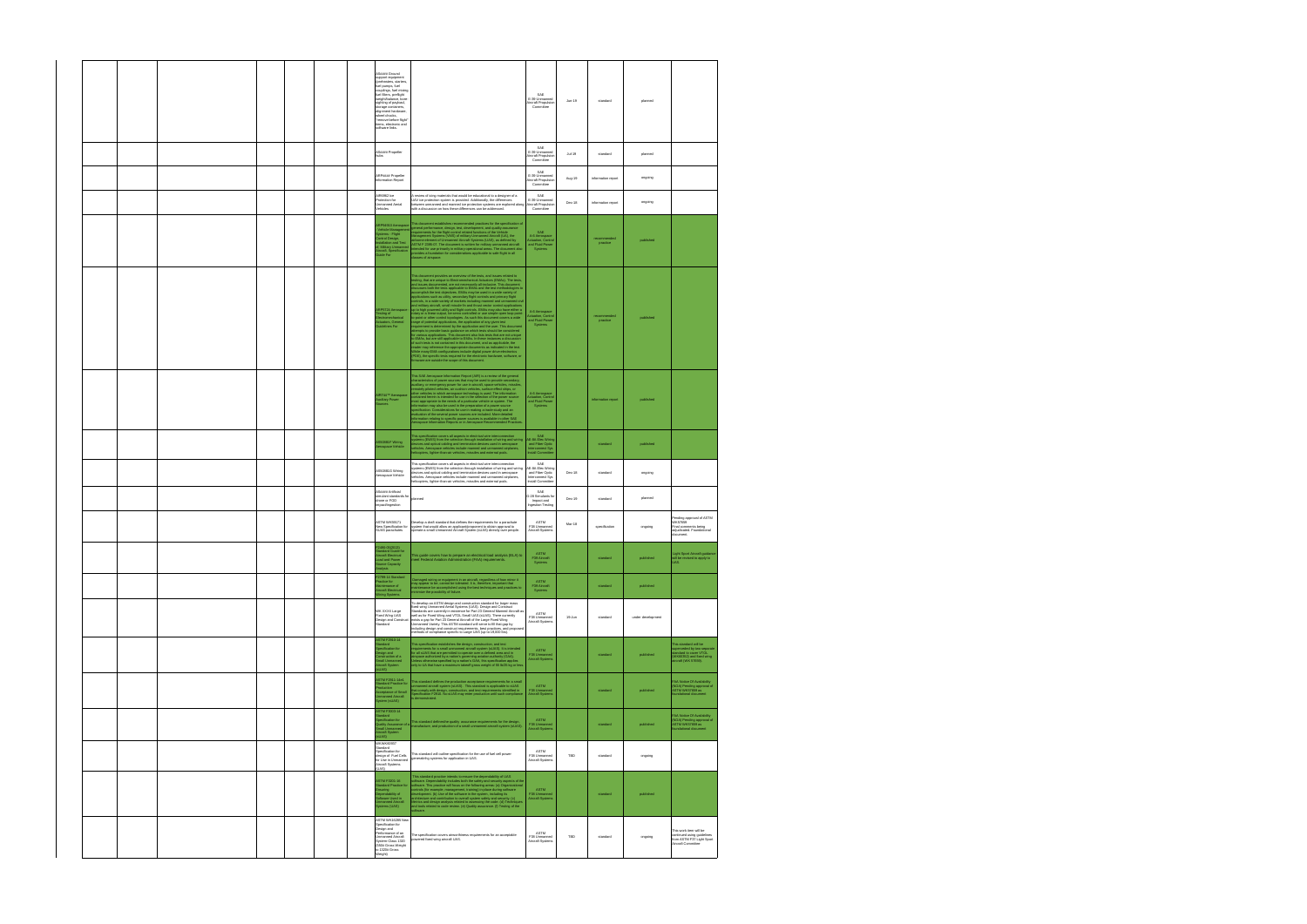|  |  |  | AS#### Ground<br>support equipment<br>(preheaters, starters,<br>fuel pumps, fuel<br>couplings, fuel mixing<br>fuel filters, preflight<br>weight/balance, bore<br>sighting of payload,<br>storage containers,<br>alignment hardware,<br>wheel chocks.<br>remove before flight<br>items, electronic and<br>software links. |                                                                                                                                                                                                                                                                                                                                                                                                                                                                                                                                                                                                                                                                                                                                                                                                                                                                                                                                                                                                                                                                     | SAE<br>E-39 Unmanned<br>ircraft Propulsion<br>Committee                             | $Jun-19$ | standard                | planned           |                                                                                                                                 |
|--|--|--|--------------------------------------------------------------------------------------------------------------------------------------------------------------------------------------------------------------------------------------------------------------------------------------------------------------------------|---------------------------------------------------------------------------------------------------------------------------------------------------------------------------------------------------------------------------------------------------------------------------------------------------------------------------------------------------------------------------------------------------------------------------------------------------------------------------------------------------------------------------------------------------------------------------------------------------------------------------------------------------------------------------------------------------------------------------------------------------------------------------------------------------------------------------------------------------------------------------------------------------------------------------------------------------------------------------------------------------------------------------------------------------------------------|-------------------------------------------------------------------------------------|----------|-------------------------|-------------------|---------------------------------------------------------------------------------------------------------------------------------|
|  |  |  | AS#### Propeller<br>hubs                                                                                                                                                                                                                                                                                                 |                                                                                                                                                                                                                                                                                                                                                                                                                                                                                                                                                                                                                                                                                                                                                                                                                                                                                                                                                                                                                                                                     | SAF<br>E-39 Unmanned<br>Vircraft Propulsion<br>Committee                            | $Jul-19$ | standard                | planned           |                                                                                                                                 |
|  |  |  | <b>ARP#### Propeller</b><br>Information Report                                                                                                                                                                                                                                                                           |                                                                                                                                                                                                                                                                                                                                                                                                                                                                                                                                                                                                                                                                                                                                                                                                                                                                                                                                                                                                                                                                     | SAE<br>E-39 Unmanned<br>Vircraft Propulsio<br>Committee                             | Aug-19   | information report      | ongoing           |                                                                                                                                 |
|  |  |  | AIR6962 Ice<br>Protection for<br>Unmanned Aerial<br>Vehicles                                                                                                                                                                                                                                                             | A review of icing materials that would be educational to a designer of a<br>UAV ice protection system is provided. Additionally, the differences<br>between unmanned and manned ice protection systems are explored along<br>with a discussion on how these differences can be addressed.                                                                                                                                                                                                                                                                                                                                                                                                                                                                                                                                                                                                                                                                                                                                                                           | SAE<br>E-39 Unmanned<br>Aircraft Propulsion<br>Committee                            | Dec-18   | information report      | ongoing           |                                                                                                                                 |
|  |  |  | RP94910 Aerospace<br>Vehicle Manage<br>lystems - Flight<br>Iontrol Design,<br>Istallation and Test<br>, Military Unmanned<br><b>Aircraft, Specification</b><br>Suide For                                                                                                                                                 | This document establishes recommended practices for the specification of general performance, design, test, development, and quality assume requirements for the flight control related functions of the Vehicle Management S<br>intended for use primarily in military operational areas. The document also provides a foundation for considerations applicable to safe flight in all<br>dasses of airspace.                                                                                                                                                                                                                                                                                                                                                                                                                                                                                                                                                                                                                                                       | SAE<br>A-6 Aerospace<br>Actuation, Contro<br>and Fluid Powe<br>Systems              |          | recommended<br>practice | published         |                                                                                                                                 |
|  |  |  | RP5724 Aerospace<br>esting of<br>lectromechanical<br>tuators, General<br>uidelines For                                                                                                                                                                                                                                   | This document provides an overview of the tests, and issues related to<br>testing, that are unique to Electromechanical Actuators (EMAs). The tests,<br>and issues documented, are not necessarily all-inclusive. This document<br>discusses both the tests applicable to EMAs and the test methodologies to accomplish the test objectives. EMAs may be used in a wide variety of<br>applications such as utility, secondary flight controls and primary flight controls, in a wide variety of markets including manned and unmanned civ<br>continuo, na woe wanery of manets recularing manete and unimated continuous and material material material material material and the state of the state of the state of the state of the state of the state of the state of th<br>for various applications. This document also lost tests trait are not unque<br>to EMAs, but are still applicable to EMAs. In these instances a discussion<br>of stuch tests is not contained in this documents, and as a pplicalle,<br>nware are outside the scope of this document. | A-6 Aerospace<br>and Fluid Power<br>Systems                                         |          | recommended<br>practice | published         |                                                                                                                                 |
|  |  |  | AIR744™ Aerospace<br>uxiliary Power<br>Sources                                                                                                                                                                                                                                                                           | This SAE Aerospace Information Report (AIR) is a review of the general characteristics of power sources that may be used to provide secondary,<br>cianos antistas o uponen souces una misa per usea un provincio secondo antistica, antissies, antissies, antissies, antissies, antissies, antissies, antissies, antissies, antissies, antissies, antissies, antissies, antissie<br>most appropriate to the needs of a particular vehicle or system. The<br>information may also be used in the preparation of a power source<br>specification. Considerations for use in making a trade study and an<br>evaluation of the several power sources are included. More detailed<br>information relating to specific power sources is available in other SAE<br>Aerospace Information Reports or in Aerospace Recommended Practices                                                                                                                                                                                                                                     | A-6 Aerospace<br><b>Actuation, Contro</b><br>and Fluid Power                        |          | information report      | published         |                                                                                                                                 |
|  |  |  | AS50881F Wiring<br>Aerospace Vehicle                                                                                                                                                                                                                                                                                     | This specification covers all aspects in electrical wire interconnection<br>systems (EWIS) from the selection through installation of wring and wining<br>devices and optical cabing and termination devices used in aerospace<br>vehic                                                                                                                                                                                                                                                                                                                                                                                                                                                                                                                                                                                                                                                                                                                                                                                                                             | SAE<br>AE-8A Elec Wirin<br>and Fiber Optio<br>Interconnect Sys<br>Install Committee |          | standard                | published         |                                                                                                                                 |
|  |  |  | AS50881G Wiring<br>Aerospace Vehicle                                                                                                                                                                                                                                                                                     | This specification covers all aspects in electrical wire interconnection<br>systems (EWIS) from the selection through installation of wiring and wiring<br>devices and optical cabling and termination devices used in aerospace<br>vehicles. Aerospace vehicles include manned and unmanned airplanes,<br>helicopters, lighter-than-air vehicles, missiles and external pods.                                                                                                                                                                                                                                                                                                                                                                                                                                                                                                                                                                                                                                                                                      | SAE<br>AE-8A Elec Wiring<br>and Fiber Optic<br>Interconnect Sys<br>Install Committe | Dec-18   | standard                | ongoing           |                                                                                                                                 |
|  |  |  | AS#### Artificial<br>simulant standards for<br>drone or FOD<br>impact/ingestion                                                                                                                                                                                                                                          | planned                                                                                                                                                                                                                                                                                                                                                                                                                                                                                                                                                                                                                                                                                                                                                                                                                                                                                                                                                                                                                                                             | SAE<br>G-28 Simulants for<br>Impact and<br>Ingestion Testing                        | Dec-19   | standard                | planned           |                                                                                                                                 |
|  |  |  | ASTM WK59171<br>New Specification for<br>SUAS parachutes                                                                                                                                                                                                                                                                 | Develop a draft standard that defines the requirements for a parachute<br>system that would allow an applicant/proponent to obtain approval to<br>operate a small Unmanned Aircraft System (sUAS) directly over people.                                                                                                                                                                                                                                                                                                                                                                                                                                                                                                                                                                                                                                                                                                                                                                                                                                             | <b>ASTM</b><br>F38 Unmanned<br>Aircraft Systems                                     | Mar-18   | specification           | ongoing           | ending approval of ASTM<br>WK57659<br>inal comments being<br>adjudicated. Foundational<br>document.                             |
|  |  |  | F2490-05(2013)<br>Standard Guide for<br>Aircraft Electrical<br>Load and Power<br>ource Capacity                                                                                                                                                                                                                          | This guide covers how to prepare an electrical load analysis (ELA) to<br>meet Federal Aviation Administration (FAA) requirements.                                                                                                                                                                                                                                                                                                                                                                                                                                                                                                                                                                                                                                                                                                                                                                                                                                                                                                                                   | <b>ASTM</b><br>F39 Aircraft<br>Systems                                              |          | standard                | published         | Light Sport Aircraft guidance<br>will be revised to apply to<br>UAS.                                                            |
|  |  |  | aisylsn<br>2799-14 Standard<br>ractice for<br>aintenance of<br><b>Nircraft Electrical</b>                                                                                                                                                                                                                                | Damaged wiring or equipment in an aircraft, regardless of how minor it may appear to be, cannot be tolerated. It is, therefore, important that<br>maintenance be accomplished using the best techniques and practices to<br>inimize the possibility of failure.                                                                                                                                                                                                                                                                                                                                                                                                                                                                                                                                                                                                                                                                                                                                                                                                     | <b>ASTM</b><br>F39 Aircraft<br>Systems                                              |          | standard                | published         |                                                                                                                                 |
|  |  |  | <b>Viring Systems</b><br>WK XXXX Large<br>Fixed Wing UAS<br>Design and Construct<br>Standard                                                                                                                                                                                                                             | To develop an ASTM design and construction standard for larger mass<br>fixed-wing Unmanned Aerial Systems (UAS). Design and Construct<br>Standards are currently in existence for Part 23 General Manned Aircraft as<br>well as for Fixed Wing and VTOL Small UAS (sUAS). There currently<br>exists a gap for Part 23 General Aircraft of the Large Fixed Wing<br>Unmanned Variety. This ASTM standard will serve to fill that gap by<br>including design and construct requirements, best practices, and propose<br>methods of compliance specific to Large UAS (up to 19,000 lbs).                                                                                                                                                                                                                                                                                                                                                                                                                                                                                | $\mathsf{ASTM}\xspace$<br>F38 Unmanned<br>Aircraft Systems                          | 19-Jun   | standard                | under development |                                                                                                                                 |
|  |  |  | ASTM F2910-14<br>Standard<br>Specification for<br>Design and<br>Construction of a<br>imall Unmanned<br>ircraft System                                                                                                                                                                                                    | This specification establishes the design, construction, and test<br>Interpretational consumes the users of the specifical system (UAS). It is intended<br>its distribution of the specifical system (UAS). It is intended<br>for all sUAS that are permitted to operate over a defined area and in<br>all s                                                                                                                                                                                                                                                                                                                                                                                                                                                                                                                                                                                                                                                                                                                                                        | <b>ASTM</b><br>F38 Unmanned<br>Aircraft Systems                                     |          | standard                | published         | This standard will be<br>superceded by two separat<br>standard to cover VTOL<br>(WK60352) and fixed wing<br>ircraft (WK 57659). |
|  |  |  | UAS)<br>ASTM F2911-14e1<br>Standard Practice for<br>Production<br>cceptance of Small<br>Inmanned Aircraft<br>ystem (sUAS)                                                                                                                                                                                                | This standard defines the production acceptance requirements for a small<br>umanned aircraft system (sUAS). This standard is applicable to sUAS<br>that comply with design, construction, and test requirements identified in<br>Specification F2910. No sUAS may enter production until such compliance<br>s demonstrated.                                                                                                                                                                                                                                                                                                                                                                                                                                                                                                                                                                                                                                                                                                                                         | $\overline{\mathsf{ASTM}}$<br>F38 Unmanned<br>Aircraft Systems                      |          | standard                | published         | AA Notice Of Availability<br>(NOA) Pending approval of<br>ASTM WK57659 as<br>undational document                                |
|  |  |  | <b>ASTM F3003-14</b><br>tandard<br>Specification for<br>Small Unmanned<br>Aircraft System                                                                                                                                                                                                                                | ipecification for<br>tuality Assurance of a This standard definesthe quality assurance requirements for the design,<br>imall I Inmanuari manufacture, and production of a small unmanned aircraft system (sUAS).                                                                                                                                                                                                                                                                                                                                                                                                                                                                                                                                                                                                                                                                                                                                                                                                                                                    | <b>ASTM</b><br>F <sub>38</sub> Unmanned<br>Aircraft Systems                         |          | standard                | published         | AA Notice Of Availability<br>(NOA) Pending approval of<br>ASTM WK57659 as<br><b>Indational document</b>                         |
|  |  |  | iUAS)<br><b>WKWK60937</b><br>Standard<br>Specification fo<br>design of Fuel Cells<br>for Use in Unmanned<br>Aircraft Systems<br>(UAS)                                                                                                                                                                                    | This standard will outline specification for the use of fuel cell power<br>generatinhg systems for application in UAS.                                                                                                                                                                                                                                                                                                                                                                                                                                                                                                                                                                                                                                                                                                                                                                                                                                                                                                                                              | $\mathsf{ASTM}\xspace$<br>F38 Unmanned<br>Aircraft Systems                          | TBD      | standard                | ongoing           |                                                                                                                                 |
|  |  |  | ASTM F3201-16<br>Standard Practice for<br>Ensuring<br>Dependability of<br>Software Used in<br>Inmanned Aircraft<br>lystems (UAS)                                                                                                                                                                                         | This standard practice intends to ensure the dependability of UAS<br>oftware. Dependability includes both the safety and security aspects of the<br>somewave. Dependancy includes contribe stately and security aspects or the state software. This practice will locas on the Iollowing areas: (a) Organizational<br>development. (b) Use of the advance in the spatian, including t                                                                                                                                                                                                                                                                                                                                                                                                                                                                                                                                                                                                                                                                               | <b>ASTM</b><br>F38 Unmanned<br>Aircraft Systems                                     |          | standard                | published         |                                                                                                                                 |
|  |  |  | ASTM WK16285 New<br>Specification for<br>Design and<br>Performance of an<br>Unmanned Aircraft<br>System-Class 1320<br>550# Gross Weight<br>to 1320# Gross<br>Veight)                                                                                                                                                     | The specification covers airworthiness requirements for an acceptable<br>powered fixed wing aircraft UAS.                                                                                                                                                                                                                                                                                                                                                                                                                                                                                                                                                                                                                                                                                                                                                                                                                                                                                                                                                           | ASTM<br>F38 Unmanned<br>Aircraft Systems                                            | TBD      | standard                | ongoing           | This work item will be<br>continued using guidelines<br>om ASTM F37 Light Sport<br>Aircraft Committee                           |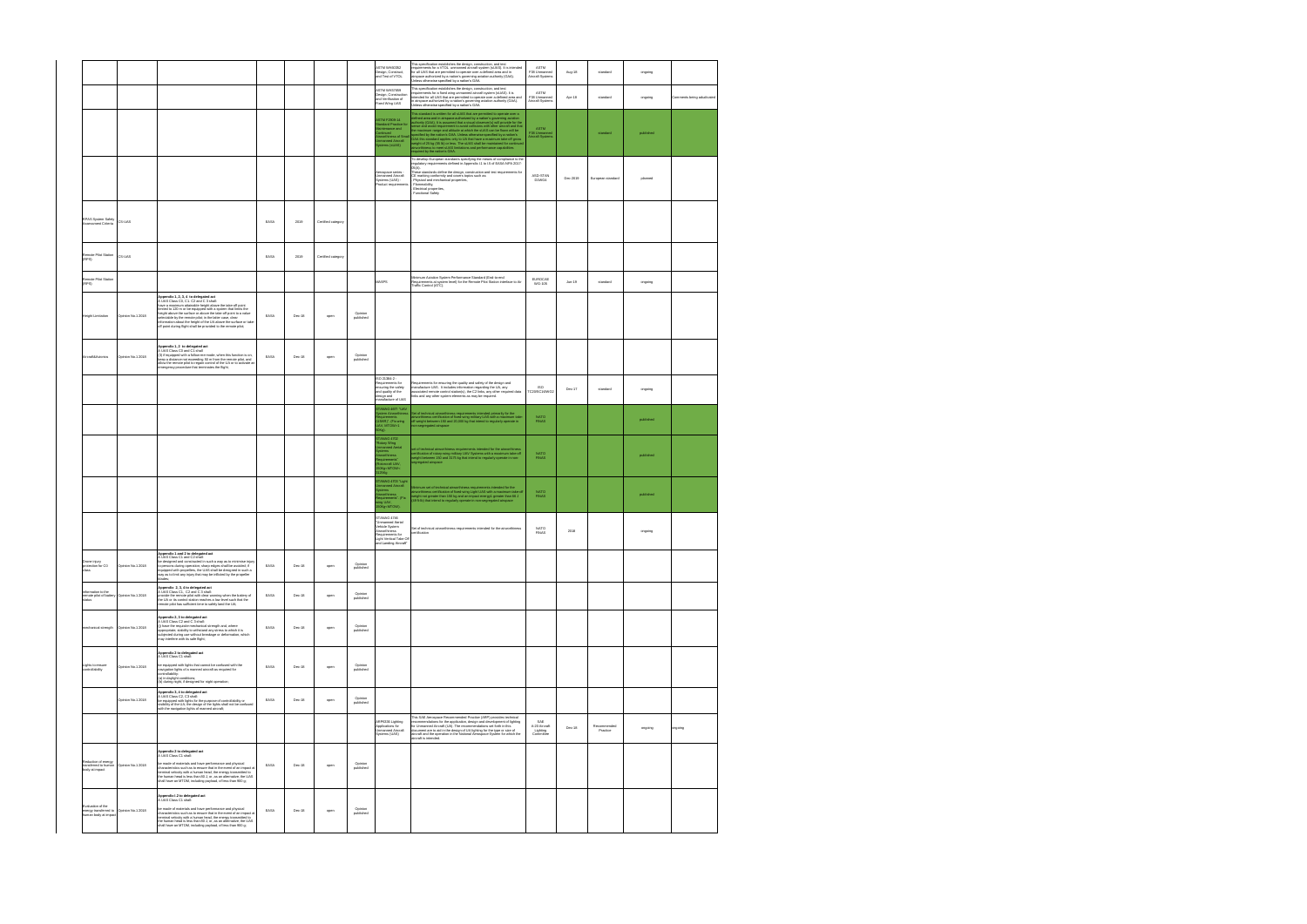|                                                                           |                   |                                                                                                                                                                                                                                                                                                                                                                                                                                                                                   |      |          |                    |                      | <b>ASTM WK60352</b><br>Design, Construct,<br>and Test of VTOL                                                                                                                                                                                                                                                                                                                                                                                                                                                                                         | This specification establishes the design, construction, and test<br>equirements for a VTOL unmanned aircraft system (sUAS). It is intended<br>for all UAS that are permitted to operate over a defined area and in<br>airspace authorized by a nation's governing aviation authority (GAA).<br>Inless otherwise specified by a nation's GAA.                                                                  | ASTM<br>F38 Unmanned<br>Aircraft Systems                       | Aug-18   | standard                | ongoing   |                           |
|---------------------------------------------------------------------------|-------------------|-----------------------------------------------------------------------------------------------------------------------------------------------------------------------------------------------------------------------------------------------------------------------------------------------------------------------------------------------------------------------------------------------------------------------------------------------------------------------------------|------|----------|--------------------|----------------------|-------------------------------------------------------------------------------------------------------------------------------------------------------------------------------------------------------------------------------------------------------------------------------------------------------------------------------------------------------------------------------------------------------------------------------------------------------------------------------------------------------------------------------------------------------|----------------------------------------------------------------------------------------------------------------------------------------------------------------------------------------------------------------------------------------------------------------------------------------------------------------------------------------------------------------------------------------------------------------|----------------------------------------------------------------|----------|-------------------------|-----------|---------------------------|
|                                                                           |                   |                                                                                                                                                                                                                                                                                                                                                                                                                                                                                   |      |          |                    |                      | ASTM WK57659<br>Design, Construction<br>and Verification of<br>Fixed Wing UAS                                                                                                                                                                                                                                                                                                                                                                                                                                                                         | This specification establishes the design, construction, and test<br>equirements for a fixed wing unmanned aircraft system (sUAS). It is<br>tended for all UAS that are permitted to operate over a defined area and<br>n airspace authorized by a nation's governing aviation authority (GAA).<br>Inless otherwise specified by a nation's GAA.                                                               | $\mathsf{ASTM}\xspace$<br>F38 Unmanned<br>Aircraft Systems     | Apr-18   | standard                | ongoing   | Comments being adudicated |
|                                                                           |                   |                                                                                                                                                                                                                                                                                                                                                                                                                                                                                   |      |          |                    |                      | <b>ASTM F2909-14</b><br>Standard Practice for<br>Maintenance and<br>Sontinued<br>rworthiness of Smal<br>nmanned Aircraft<br>ystems (sUAS)                                                                                                                                                                                                                                                                                                                                                                                                             | This standard is written to get all UAS that was permitted to provide the definition of a finite definition of the definition of the standard process of about defined as a set in an expanded by a national spectral was a s<br>equired by the nation's GAA.                                                                                                                                                  | $\overline{\mathsf{ASTM}}$<br>F38 Unmanned<br>Aircraft Systems |          | standard                | published |                           |
|                                                                           |                   |                                                                                                                                                                                                                                                                                                                                                                                                                                                                                   |      |          |                    |                      | Aerospace series -<br><b>Unmanned Aircraft</b><br>Systems (UAS) -<br>roduct requirement                                                                                                                                                                                                                                                                                                                                                                                                                                                               | To develop European standards specifying the means of compliance to the<br>regulatory requirements defined in Appendix I.1 to I.5 of EASA-NPA 2017-<br>$05(A)$ .<br>These standards define the design, construction and test requirements for<br>CE marking conformity and covers topics such as:<br>Physical and mechanical properties,<br>Flammability,<br><b>Electrical properties</b><br>Functional Safety | ASD-STAN<br>D1WG4                                              | Dec-2019 | European standard       | planned   |                           |
| RPAS System Safety<br>ssessment Criteria                                  | CS-UAS            |                                                                                                                                                                                                                                                                                                                                                                                                                                                                                   | EASA | 2019     | Certified category |                      |                                                                                                                                                                                                                                                                                                                                                                                                                                                                                                                                                       |                                                                                                                                                                                                                                                                                                                                                                                                                |                                                                |          |                         |           |                           |
| Remote Pilot Station<br>(RPS)                                             | CS-UAS            |                                                                                                                                                                                                                                                                                                                                                                                                                                                                                   | EASA | 2019     | Certified category |                      |                                                                                                                                                                                                                                                                                                                                                                                                                                                                                                                                                       |                                                                                                                                                                                                                                                                                                                                                                                                                |                                                                |          |                         |           |                           |
| Remote Pilot Station<br>(RPS)                                             |                   |                                                                                                                                                                                                                                                                                                                                                                                                                                                                                   |      |          |                    |                      | MASPS                                                                                                                                                                                                                                                                                                                                                                                                                                                                                                                                                 | Minimum Aviation System Performance Standard (End-to-end<br>Requirements at system level) for the Remote Pilot Station interface to Air<br>Traffic Control (ATC).                                                                                                                                                                                                                                              | <b>EUROCAE</b><br>WG-105                                       | $Jun-19$ | standard                | ongoing   |                           |
| leight Limitation                                                         | Opinion No.1 2018 | Appendix 1, 2, 3, 4 to delegated act<br>A UAS Class C0, C1. C2 and C 3 shall:<br>have a maximum attainable height above the take-off point<br>imited to 120 m or be equipped with a system that limits the<br>height above the surface or above the take-off point to a value<br>selectable by the remote pilot; in the latter case, clear<br>information about the height of the UA above the surface or take-<br>off point during flight shall be provided to the remote pilot; | EASA | Dec-18   | open               | Opinion<br>published |                                                                                                                                                                                                                                                                                                                                                                                                                                                                                                                                                       |                                                                                                                                                                                                                                                                                                                                                                                                                |                                                                |          |                         |           |                           |
| <b>Nircraft&amp;Avionics</b>                                              | Opinion No.1 2018 | Appendix 1, 2 to delegated act<br>A UAS Class C0 and C1 shall<br>(3) if equipped with a follow-me mode, when this function is on.<br>keep a distance not exceeding 50 m from the remote pilot, and<br>allow the remote pilot to regain control of the UA or to activate are emergency procedure that terminates the flight;                                                                                                                                                       | EASA | Dec-18   | open               | Opinion<br>published |                                                                                                                                                                                                                                                                                                                                                                                                                                                                                                                                                       |                                                                                                                                                                                                                                                                                                                                                                                                                |                                                                |          |                         |           |                           |
|                                                                           |                   |                                                                                                                                                                                                                                                                                                                                                                                                                                                                                   |      |          |                    |                      | ISO 21384-2 -<br>Requirements for<br>ensuring the safety<br>and quality of the<br>design and<br>manufacture of UAS                                                                                                                                                                                                                                                                                                                                                                                                                                    | Requirements for ensuring the quality and safety of the design and<br>manufacture UAS. It includes information regarding the UA, any<br>ssociated remote control station(s), the C2 links, any other required data<br>links and any other system elements as may be required.                                                                                                                                  | <b>ISO</b><br>TC20/SC16/WG2                                    | Dec-17   | standard                | ongoing   |                           |
|                                                                           |                   |                                                                                                                                                                                                                                                                                                                                                                                                                                                                                   |      |          |                    |                      | STANAG 4671 "UAV<br>stem Airworthines<br>ouirements<br>JSAR)". (Fix wing<br>AV, MTOW>1<br>0Кg).                                                                                                                                                                                                                                                                                                                                                                                                                                                       | Set of technical airworthiness requirements intended primarily for the<br>airworthiness certification of fixed-wing military UAS with a maximum take-<br>off weight between 150 and 20,000 kg that intend to regularly operate in<br>egregated airspace                                                                                                                                                        | NATO<br>FINAS                                                  |          |                         | published |                           |
|                                                                           |                   |                                                                                                                                                                                                                                                                                                                                                                                                                                                                                   |      |          |                    |                      | STANAG 4702<br>Rotary Wing<br>Inmanned Aerial<br>ystems<br>irworthiness<br>equirements"<br>totorcraft UAV,<br>ISOKg <mtow<<br>3125Kg</mtow<<br>                                                                                                                                                                                                                                                                                                                                                                                                       | set of technical airworthiness requirements intended for the airworthiness<br>certification of rotary-wing military UAV Systems with a maximum take-off weight between 150 and 3175 kg that intend to regularly operate in non-<br>egated airspace                                                                                                                                                             | NATO<br>FINAS                                                  |          |                         | published |                           |
|                                                                           |                   |                                                                                                                                                                                                                                                                                                                                                                                                                                                                                   |      |          |                    |                      | STANAG 4703 "Light<br>Unmanned Aircraft<br>vstems<br>irworthiness<br>quirements". (Fix<br>veganements .  <br>wing UAV,<br>150Kg <mtow).< td=""><td>Minimum set of technical airworthiness requirements intended for the<br/>ainvorthiness certification of fixed-wing Light UAS with a maximum take-off eight not greater than 150 kg and an impact energy1 greater than 66 J<br/>weight not greater than 150 kg and an impact energy1 greater than 66 J<br/>(49 f</td><td>NATO<br/>FINAS</td><td></td><td></td><td>published</td><td></td></mtow).<> | Minimum set of technical airworthiness requirements intended for the<br>ainvorthiness certification of fixed-wing Light UAS with a maximum take-off eight not greater than 150 kg and an impact energy1 greater than 66 J<br>weight not greater than 150 kg and an impact energy1 greater than 66 J<br>(49 f                                                                                                   | NATO<br>FINAS                                                  |          |                         | published |                           |
|                                                                           |                   |                                                                                                                                                                                                                                                                                                                                                                                                                                                                                   |      |          |                    |                      | STANAG 4746<br>*Unmanned Aerial<br>Vehicle System<br>Airworthiness<br>Requirements for<br>Light Vertical Take Off<br>and Landing Aircraft"                                                                                                                                                                                                                                                                                                                                                                                                            | Set of technical airworthiness requirements intended for the airworthiness<br>ertification                                                                                                                                                                                                                                                                                                                     | NATO<br><b>FINAS</b>                                           | 2018     |                         | ongoing   |                           |
| Drone injury<br>rotection for CO<br>dass                                  | Opinion No.1 2018 | ıdix 1 and 2 to delegated act<br>A UAS Class C1 and C2 shall:<br>be designed and constructed in such a way as to minimise injury<br>to persons during operation; sharp edges shall be avoided; if<br>equipped with propellers, the UAS shall be designed in such a<br>way as to limit any injury that may be inflicted by the propeller<br>blades:                                                                                                                                | EASA | Dec-18   | open               | Opinion<br>published |                                                                                                                                                                                                                                                                                                                                                                                                                                                                                                                                                       |                                                                                                                                                                                                                                                                                                                                                                                                                |                                                                |          |                         |           |                           |
| information to the<br>remote pilot of battery Opinion No.1 2018<br>status |                   | Appendix 2, 3, 4 to delegated act<br>A UAS Class C1. C2 and C 3 shall:<br>provide the remote pilot with clear warning when the battery of<br>the UA or its control station reaches a low level such that the<br>emote pilot has sufficient time to safely land the UA;                                                                                                                                                                                                            | EASA | $Dec-18$ | open               | Opinion<br>published |                                                                                                                                                                                                                                                                                                                                                                                                                                                                                                                                                       |                                                                                                                                                                                                                                                                                                                                                                                                                |                                                                |          |                         |           |                           |
| mechanical strength                                                       | Opinion No.1 2018 | Appendix 2, 3 to delegated act<br>A UAS Class C2 and C 3 shall:<br>(j) have the requisite mechanical strength and, where<br>appropriate, stability to withstand any stress to which it is<br>subjected during use without breakage or deformation, which<br>nay interfere with its safe flight;                                                                                                                                                                                   | EASA | Dec-18   | open               | Opinion<br>published |                                                                                                                                                                                                                                                                                                                                                                                                                                                                                                                                                       |                                                                                                                                                                                                                                                                                                                                                                                                                |                                                                |          |                         |           |                           |
| Lights to ensure<br>controllability                                       | Opinion No.1 2018 | Appendix 2 to delegated act<br>A UAS Class C1 shall:<br>be equipped with lights that cannot be confused with the<br>navigation lights of a manned aircraft as required for<br>controllability:<br>(a) in daylight conditions;<br>(b) during night, if designed for night operation;                                                                                                                                                                                               | EASA | Dec-18   | open               | Opinion<br>published |                                                                                                                                                                                                                                                                                                                                                                                                                                                                                                                                                       |                                                                                                                                                                                                                                                                                                                                                                                                                |                                                                |          |                         |           |                           |
|                                                                           | Opinion No.1 2018 | Appendix 3, 4 to delegated act<br>UAS Class C2, C3 shall:<br>be equipped with lights for the purpose of controllability or<br>visibility of the UA; the design of the lights shall not be confused<br>with the navigation lights of manned aircraft;                                                                                                                                                                                                                              | EASA | Dec-18   | open               | Opinion<br>published |                                                                                                                                                                                                                                                                                                                                                                                                                                                                                                                                                       |                                                                                                                                                                                                                                                                                                                                                                                                                |                                                                |          |                         |           |                           |
|                                                                           |                   |                                                                                                                                                                                                                                                                                                                                                                                                                                                                                   |      |          |                    |                      | ARP6336 Lighting<br>Applications for<br><b>Unmanned Aircraft</b><br>Systems (UAS)                                                                                                                                                                                                                                                                                                                                                                                                                                                                     | This SAE Aerospace Recommended Practice (ARP) provides technical<br>ecommendations for the application, design and development of lighting<br>or Unmanned Aircraft (UA). The recommendations set forth in this<br>document are to aid in the design of UA lighting for the type or size of<br>sircraft and the operation in the National Aerospace System for which the<br>ircraft is intended.                | SAE<br>A-20 Aircraft<br>Lighting<br>Committee                  | Dec-18   | Recommended<br>Practice | ongoing   | ongoing                   |
| Reduction of energy<br>transferred to human<br>ody at impact              | Opinion No.1 2018 | Appendix 2 to delegated act<br>A UAS Class C1 shall:<br>be made of materials and have performance and physical<br>characteristics such as to ensure that in the event of an impact a<br>terminal velocity with a human head, the energy transmitted to<br>the human head is less than 80 J, or, as an alternative, the UAS<br>shall have an MTOM, including payload, of less than 900 g;                                                                                          | EASA | Dec-18   | open               | Opinion<br>published |                                                                                                                                                                                                                                                                                                                                                                                                                                                                                                                                                       |                                                                                                                                                                                                                                                                                                                                                                                                                |                                                                |          |                         |           |                           |
| Evaluation of the<br>energy transferred to<br>uman body at impact         | Opinion No.1 2018 | Appendix I.2 to delegated act<br>A UAS Class C1 shall:<br>be made of materials and have performance and physical<br>characteristics such as to ensure that in the event of an impact at<br>terminal velocity with a human head, the energy transmitted to<br>the human head is less than 80 J, or, as an alternative, the UAS<br>shall have an MTOM, including payload, of less than 900 g;                                                                                       | EASA | Dec-18   | open               | Opinion<br>published |                                                                                                                                                                                                                                                                                                                                                                                                                                                                                                                                                       |                                                                                                                                                                                                                                                                                                                                                                                                                |                                                                |          |                         |           |                           |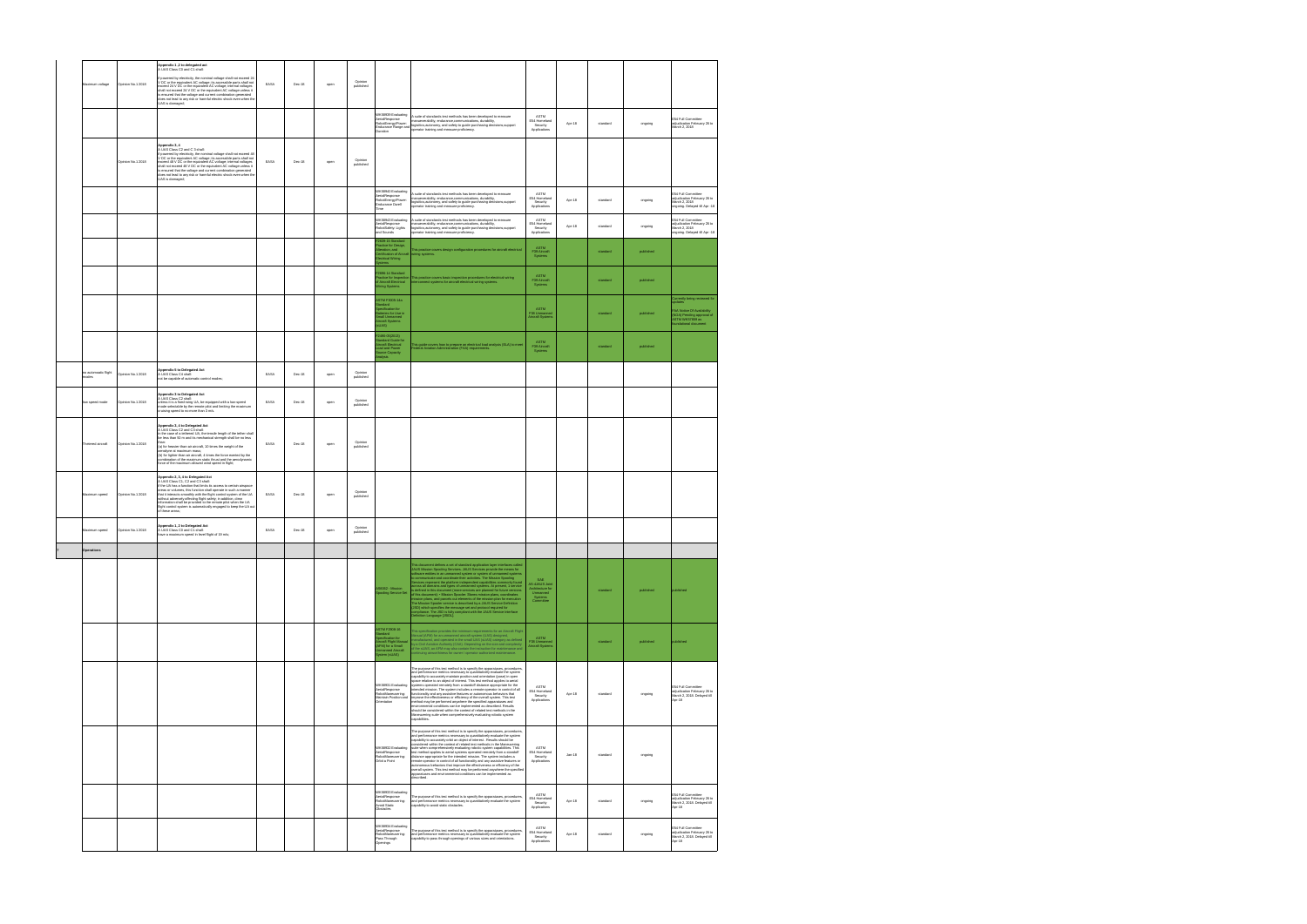|   | Maximum voltage              | Opinion No.1 2018 | Appendix 1,2 to delegated act<br>A UAS Class C0 and C1 shall:<br>powered by electricity, the nominal voltage shall not exceed 24<br>V DC or the equivalent AC voltage; its accessible parts shall not<br>exceed 24 V DC or the equivalent AC voltage; internal voltages<br>shall not exceed 24 V DC or the equivalent AC voltage unless it<br>is ensured that the voltage and current combination generated<br>does not lead to any risk or harmful electric shock even when the<br>UAS is damaged;            | EASA | Dec-18 | open | Opinion<br>published |                                                                                                                                                      |                                                                                                                                                                                                                                                                                                                                                                                                                                                                                                                                                                                                                                                                                                                                                                                                                                                                     |                                                                                     |          |          |           |                                                                                                     |
|---|------------------------------|-------------------|----------------------------------------------------------------------------------------------------------------------------------------------------------------------------------------------------------------------------------------------------------------------------------------------------------------------------------------------------------------------------------------------------------------------------------------------------------------------------------------------------------------|------|--------|------|----------------------|------------------------------------------------------------------------------------------------------------------------------------------------------|---------------------------------------------------------------------------------------------------------------------------------------------------------------------------------------------------------------------------------------------------------------------------------------------------------------------------------------------------------------------------------------------------------------------------------------------------------------------------------------------------------------------------------------------------------------------------------------------------------------------------------------------------------------------------------------------------------------------------------------------------------------------------------------------------------------------------------------------------------------------|-------------------------------------------------------------------------------------|----------|----------|-----------|-----------------------------------------------------------------------------------------------------|
|   |                              | Opinion No.1 2018 | Appendix 3, 4<br>A UAS Class C2 and C 3 shall:<br>powered by electricity, the nominal voltage shall not exceed 48<br>V DC or the equivalent AC voltage; its accessible parts shall not<br>exceed 48 V DC or the equivalent AC voltage; internal voltages shall not exceed 48 V DC or the equivalent AC voltage unless it<br>is ensured that the voltage and current combination generated<br>does not lead to any risk or harmful electric shock even when the<br>UAS is damaged;                              | EASA | Dec-18 | open | Opinion<br>published | WK58939 Evaluating<br>AerialResponse<br>RobotEnergy/Power:<br>Duration                                                                               | A suite of standards test methods has been developed to measure<br>manueverability, endurance,communications, durability,<br>Robott:nergyl Power:<br>Endurance Range and operator training and measure proficiency.<br>Duration                                                                                                                                                                                                                                                                                                                                                                                                                                                                                                                                                                                                                                     | $\mathsf{ASTM}\xspace$<br>E54 Homeland<br>Security<br>Applications                  | Apr-18   | standard | ongoing   | <b>F54 Full Committee</b><br>adjudication February 26 to<br>March 2, 2018                           |
|   |                              |                   |                                                                                                                                                                                                                                                                                                                                                                                                                                                                                                                |      |        |      |                      | WK58940 Evaluating<br>AerialResponse<br>RobotEnergy/Power:<br>Endurance Dwell<br>Time                                                                | A suite of standards test methods has been developed to measure<br>manueverability, endurance, communications, durability,<br>logisitics,autonomy, and safety to guide purchasing decisions,support<br>erator training and measure proficiency.                                                                                                                                                                                                                                                                                                                                                                                                                                                                                                                                                                                                                     | $\mathsf{ASTM}\xspace$<br>E54 Homeland<br>Security<br>Applications                  | Apr-18   | standard | ongoing   | E54 Full Committee<br>adjudication February 26 to<br>March 2, 2018<br>ongoing. Delayed till Apr -18 |
|   |                              |                   |                                                                                                                                                                                                                                                                                                                                                                                                                                                                                                                |      |        |      |                      | WK58943 Evaluating<br>AerialResponse<br>RobotSafety: Lights<br>and Sounds<br>2639-15 Stand                                                           | A suite of standards test methods has been developed to measure<br>manueverability, endurance,communications, durability,<br>logisitics,autonomy, and safety to guide purchasing decisions,support<br>perator training and measure proficiency                                                                                                                                                                                                                                                                                                                                                                                                                                                                                                                                                                                                                      | ASTM<br>E54 Homeland<br>Security<br>Applications                                    | Apr-18   | standard | ongoing   | E54 Full Committee<br>adjudication February 26 to<br>March 2, 2018<br>ongoing. Delayed till Apr -18 |
|   |                              |                   |                                                                                                                                                                                                                                                                                                                                                                                                                                                                                                                |      |        |      |                      | actice for Design,<br>teration, and<br>rtification of Aircraft<br>trical Wiring                                                                      | his practice covers design configuration procedures for aircraft electrical<br>wiring systems.                                                                                                                                                                                                                                                                                                                                                                                                                                                                                                                                                                                                                                                                                                                                                                      | ASTM<br>F39 Aircraft                                                                |          | standard | published |                                                                                                     |
|   |                              |                   |                                                                                                                                                                                                                                                                                                                                                                                                                                                                                                                |      |        |      |                      | 2696-14 Standard<br>actice for Inspection<br>Aircraft Electrical<br>ring Systems<br>STM F3005-14a                                                    | This practice covers basic inspection procedures for electrical wiring<br>interconnect systems for aircraft electrical wiring systems.                                                                                                                                                                                                                                                                                                                                                                                                                                                                                                                                                                                                                                                                                                                              | ASTM<br>F39 Aircraft                                                                |          | standard | published | Currently being reviewed for                                                                        |
|   |                              |                   |                                                                                                                                                                                                                                                                                                                                                                                                                                                                                                                |      |        |      |                      | ndard<br>ecification for<br>teries for Use in<br>hall Unman<br>craft Systems<br>AS)                                                                  |                                                                                                                                                                                                                                                                                                                                                                                                                                                                                                                                                                                                                                                                                                                                                                                                                                                                     | ASTM<br>F38 Unmanned<br>Aircraft System                                             |          | standard | published | FAA Notice Of Availability<br>(NOA) Pending approval of<br>ASTM WK57659 as<br>mal docu              |
|   |                              |                   |                                                                                                                                                                                                                                                                                                                                                                                                                                                                                                                |      |        |      |                      | 490-05(2013)<br>ndard Guide for<br>rcraft Electrical<br>ad and Power<br>urce Capacity<br>ysis                                                        | .<br>This guide covers how to prepare an electrical load analysis (ELA) to mee<br>Federal Aviation Administration (FAA) requirements.                                                                                                                                                                                                                                                                                                                                                                                                                                                                                                                                                                                                                                                                                                                               | ASTM<br>F39 Aircraft<br>Systems                                                     |          | standard | published |                                                                                                     |
|   | no automoatic flight<br>odes | Opinion No.1 2018 | Appendix 5 to Delegated Act<br>A UAS Class C4 shall:<br>not be capable of automatic control modes;                                                                                                                                                                                                                                                                                                                                                                                                             | EASA | Dec-18 | open | Opinion<br>published |                                                                                                                                                      |                                                                                                                                                                                                                                                                                                                                                                                                                                                                                                                                                                                                                                                                                                                                                                                                                                                                     |                                                                                     |          |          |           |                                                                                                     |
|   | ow speed mode                | Opinion No.1 2018 | <b>Appendix 3 to Delegated Act</b><br>A UAS Class C2 shall:<br>unless it is a fixed-wing UA, be equipped with a low-speed<br>mode selectable by the remote pilot and limiting the maximum<br>cruising speed to no more than 3 m/s.                                                                                                                                                                                                                                                                             | EASA | Dec-18 | ope  | Opinion<br>published |                                                                                                                                                      |                                                                                                                                                                                                                                                                                                                                                                                                                                                                                                                                                                                                                                                                                                                                                                                                                                                                     |                                                                                     |          |          |           |                                                                                                     |
|   | hetered aircraft             | Opinion No.1 2018 | Appendix 3, 4 to Delegated Act<br>A UAS Class C2 and C3 shall:<br>in the case of a tethered UA, the tensile length of the tether shall<br>be less than 50 m and its mechanical strength shall be no less<br>(a) for heavier-than-air aircraft, 10 times the weight of the<br>aerodyne at maximum mass;<br>(b) for lighter-than-air aircraft, 4 times the force exerted by the<br>combination of the maximum static thrust and the aerodynamic<br>force of the maximum allowed wind speed in flight;            | EASA | Dec-18 | open | Opinion<br>published |                                                                                                                                                      |                                                                                                                                                                                                                                                                                                                                                                                                                                                                                                                                                                                                                                                                                                                                                                                                                                                                     |                                                                                     |          |          |           |                                                                                                     |
|   | Maximum speed                | Opinion No.1 2018 | Appendix 2, 3, 4 to Delegated Act<br>A UAS Class C1, C2 and C3 shall:<br>if the UA has a function that limits its access to certain airspace<br>areas or volumes, this function shall operate in such a manner<br>that it interacts smoothly with the flight control system of the UA<br>without adversely affecting flight safety; in addition, clear<br>information shall be provided to the remote pilot when the UA<br>flight control system is automatically engaged to keep the UA ou<br>of these areas; | EASA | Dec-18 | open | Opinion<br>published |                                                                                                                                                      |                                                                                                                                                                                                                                                                                                                                                                                                                                                                                                                                                                                                                                                                                                                                                                                                                                                                     |                                                                                     |          |          |           |                                                                                                     |
|   | laximum speed                | Opinion No.1 2018 | Appendix 1, 2 to Delegated Act<br>A UAS Class C0 and C1 shall:<br>have a maximum speed in level flight of 19 m/s;                                                                                                                                                                                                                                                                                                                                                                                              | EASA | Dec-18 | open | Opinion<br>published |                                                                                                                                                      |                                                                                                                                                                                                                                                                                                                                                                                                                                                                                                                                                                                                                                                                                                                                                                                                                                                                     |                                                                                     |          |          |           |                                                                                                     |
| 7 | Operations                   |                   |                                                                                                                                                                                                                                                                                                                                                                                                                                                                                                                |      |        |      |                      |                                                                                                                                                      |                                                                                                                                                                                                                                                                                                                                                                                                                                                                                                                                                                                                                                                                                                                                                                                                                                                                     |                                                                                     |          |          |           |                                                                                                     |
|   |                              |                   |                                                                                                                                                                                                                                                                                                                                                                                                                                                                                                                |      |        |      |                      | S6062 - Mission<br>pooling Service Set                                                                                                               | This document defines a set of standard application layer interfaces called<br>JAUS Mission Spooling Services. JAUS Services provide the means for<br>software entities in an ummamed system of ummamed systems<br>to communicate and c<br>Distribution the platform-independent capabilities commonly found<br>Services represent the platform-independent capabilities commonly found<br>across all domains and types of urmanned systems. All present, 1 service<br>is defined<br>The Mission Spooler service is described by a JAUS Service Definition<br>(ISD) which specifies the message set and protocol required for<br>(ISD) which specifies the message set and protocol required for<br>compliance. The JSD is (                                                                                                                                        | <b>SAE</b><br>AS-4JAUS Join<br>Architecture for<br>Unmanned<br>Systems<br>Committee |          | standard | published | ublished                                                                                            |
|   |                              |                   |                                                                                                                                                                                                                                                                                                                                                                                                                                                                                                                |      |        |      |                      | <b>STM F2908-16</b><br>indard<br>ecification for<br>specification for<br>Aircraft Flight Manua<br>AFM) for a Small<br>manned Aircraft<br>stem (sUAS) | is specification provides the minimum requirements for an Aircraft Fligh<br>anual (AFM) for an unmanned aircraft system (UAS) designed,<br>anufactured, and operated in the small UAS (sUAS) category as defin<br>y a Civil Aviation Authority (CAA). Depending on the size and complexity<br>the sUAS, an AFM may also contain the instruction for maintenance and<br>inuing airworthiness for owner / operator authorized maintena                                                                                                                                                                                                                                                                                                                                                                                                                                | ASTM<br>F38 Unmanned<br>Aircraft Systems                                            |          | standard | published | published                                                                                           |
|   |                              |                   |                                                                                                                                                                                                                                                                                                                                                                                                                                                                                                                |      |        |      |                      |                                                                                                                                                      | The purpose of this test method is to specify the apparatuses, procedures,<br>and performance metrics necessary to quantitatively evaluate the system<br>capability to accurately maintain position and orientation (pose) in open                                                                                                                                                                                                                                                                                                                                                                                                                                                                                                                                                                                                                                  |                                                                                     |          |          |           |                                                                                                     |
|   |                              |                   |                                                                                                                                                                                                                                                                                                                                                                                                                                                                                                                |      |        |      |                      | WK58931 Evaluating<br>AerialResponse<br>RobotManeuvering:<br>Orientation                                                                             | space relative to an object of interest. This test method applies to aerial<br>systems operated remotely from a standoff distance appropriate for the<br>intended mission. The system includes a remote operator in control of all<br>functionality and any assistive features or autonomous behaviors that<br>Maintain Position and improve the effectiveness or efficiency of the overall system. This test<br>method may be performed anywhere the specified apparatuses and<br>environmental conditions can be implemented as described. Results<br>should be considered within the context of related test methods in the<br>Maneuvering suite when comprehensively evaluating robotic system<br>capabilities.                                                                                                                                                 | ASTM<br>E54 Homeland<br>Security<br>Applications                                    | Apr-18   | standard | ongoing   | E54 Full Committee<br>adjudication February 26 to<br>March 2, 2018. Delayed till<br>Apr-18          |
|   |                              |                   |                                                                                                                                                                                                                                                                                                                                                                                                                                                                                                                |      |        |      |                      | WK58932 Evaluating<br>AerialResponse<br>RobotManeuvering:<br>Orbit a Point                                                                           | The purpose of this test method is to specify the apparatuses, procedures<br>and performance metrics necessary to quantitatively evaluate the system<br>capability to accurately orbit an object of interest . Results should be<br>considered within the context of related test methods in the Maneuvering<br>suite when comprehensively evaluating robotic system capabilities. This<br>test method applies to aerial systems operated remotely from a standoff<br>distance appropriate for the intended mission. The system includes a<br>remote operator in control of all functionality and any assistive features or<br>autonomous behaviors that improve the effectiveness or efficiency of the<br>overall system. This test method may be performed anywhere the specifier<br>apparatuses and environmental conditions can be implemented as<br>described. | ASTM<br>E54 Homeland<br>Security<br>Applications                                    | $Jan-18$ | standard | ongoing   |                                                                                                     |
|   |                              |                   |                                                                                                                                                                                                                                                                                                                                                                                                                                                                                                                |      |        |      |                      | WK58933 Evaluating<br>AerialResponse<br>RobotManeuvering:<br>Avoid Static<br>Obstacles                                                               | The purpose of this test method is to specify the apparatuses, procedures,<br>and performance metrics necessary to quantitatively evaluate the system<br>capability to avoid static obstacles.                                                                                                                                                                                                                                                                                                                                                                                                                                                                                                                                                                                                                                                                      | $\mathsf{ASTM}\xspace$<br>E54 Homeland<br>Security<br>Applications                  | Apr-18   | standard | ongoing   | E54 Full Committee<br>adiudication February 26 to<br>March 2, 2018. Delayed till<br>Apr-18          |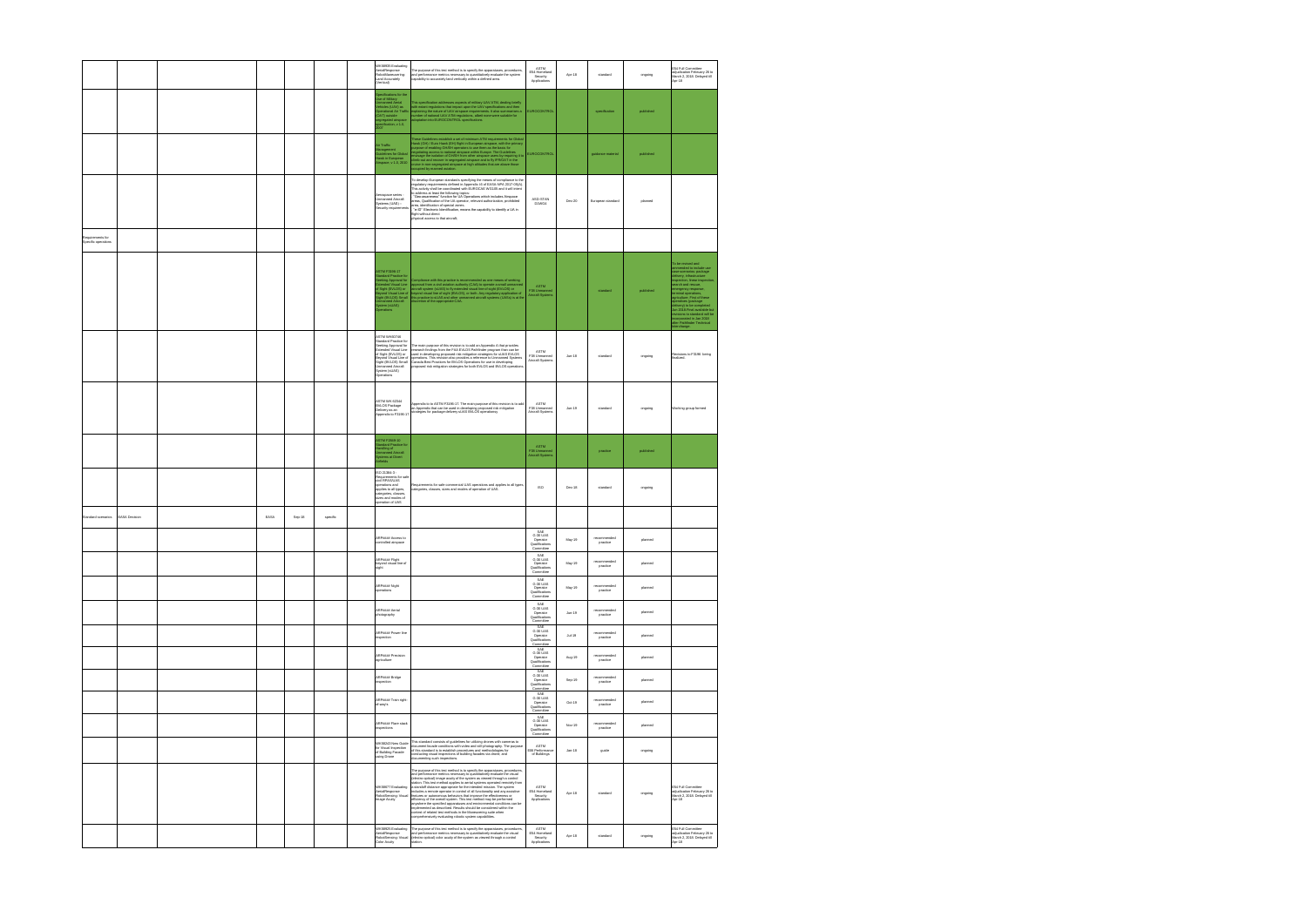|                                         |               |      |        |          | WK58935 Evaluating<br>AerialResponse<br>RobotManeuvering:<br>Land Accurately<br>Vertical)                                                                                                                               | The purpose of this test method is to specify the apparatuses, procedures,<br>and performance metrics necessary to quantitatively evaluate the system<br>capability to accurately land vertically within a defined area.                                                                                                                                                                                                                                                                                                                                                                                                                                                                                                                                                                                                                                                                                                                                                 | ASTM<br>E54 Homeland<br>Security<br>Applications                       | Apr-18   | standard                | ongoing   | E54 Full Committee<br>adjudication February 26 to<br>March 2, 2018. Delayed till<br>Apr-18                                                                                                                                                                                                                                                                                                                                          |
|-----------------------------------------|---------------|------|--------|----------|-------------------------------------------------------------------------------------------------------------------------------------------------------------------------------------------------------------------------|--------------------------------------------------------------------------------------------------------------------------------------------------------------------------------------------------------------------------------------------------------------------------------------------------------------------------------------------------------------------------------------------------------------------------------------------------------------------------------------------------------------------------------------------------------------------------------------------------------------------------------------------------------------------------------------------------------------------------------------------------------------------------------------------------------------------------------------------------------------------------------------------------------------------------------------------------------------------------|------------------------------------------------------------------------|----------|-------------------------|-----------|-------------------------------------------------------------------------------------------------------------------------------------------------------------------------------------------------------------------------------------------------------------------------------------------------------------------------------------------------------------------------------------------------------------------------------------|
|                                         |               |      |        |          | becifications for the<br>.<br>Jse of Military<br>Jnmanned Aerial<br>ehicles (UAV) as<br>erational Air Traffic<br>DAT) outside<br>egregated airspace<br>pecification, v 1.0,<br>007                                      | This specification addresses aspects of military UAV ATM, dealing briefly<br>with extant regulations that impact upon the UAV specifications and then<br>explaining the nature of UAV airspace requirements. It also summarises a<br>umber of national UAV ATM regulations, albeit none were suitable for<br>daptation into EUROCONTROL specifications                                                                                                                                                                                                                                                                                                                                                                                                                                                                                                                                                                                                                   | <b>EUROCONTROL</b>                                                     |          | specification           | published |                                                                                                                                                                                                                                                                                                                                                                                                                                     |
|                                         |               |      |        |          | Air Traffic<br>fanagement<br>Suidelines for Global<br>lawk in European<br>irspace, v 1.0, 2010                                                                                                                          | These Guidelines establish a set of minimum ATM requirements for Global<br>Hawk (GH) / Euro Hawk (EH) flight in European airspace, with the primary<br>purpose of enabling GH/EH operators to use them as the basis for<br>purpose to statuting structri operations so use timi as the Guidelines<br>registering access to national airspace within Europe. The Guidelines<br>envisage the isolation of GH/EH from other airspace users by requiring it to<br>clim<br>occupied by manned aviation.                                                                                                                                                                                                                                                                                                                                                                                                                                                                       | <b>EUROCONTROL</b>                                                     |          | guidance material       | published |                                                                                                                                                                                                                                                                                                                                                                                                                                     |
|                                         |               |      |        |          | Aerospace series<br>Unmanned Aircraft<br>Systems (UAS)-<br>Security requiremen                                                                                                                                          | To develop European standards specifying the means of compliance to the<br>regulatory requirements defined in Appendix L6 of EASA-NPA 2017-05(A).<br>This activity shall be coordinated with EUROCAE WG105 and it will intent<br>outdoess at least the following topics:<br>"Geo-awareness" function for UA Operations which includes Airspace<br>areas, Qualification of the UA operator, relevant authorization, prohibited<br>zenns lebens to noiteatitnebi ease<br>"e-ID" Electronic Identification, means the capability to identify a UA in<br>flight without direct<br>physical access to that aircraft:                                                                                                                                                                                                                                                                                                                                                          | ASD-STAN<br>D1WG4                                                      | $Dec-20$ | European standard       | planned   |                                                                                                                                                                                                                                                                                                                                                                                                                                     |
| Requirements for<br>Specific operations |               |      |        |          |                                                                                                                                                                                                                         |                                                                                                                                                                                                                                                                                                                                                                                                                                                                                                                                                                                                                                                                                                                                                                                                                                                                                                                                                                          |                                                                        |          |                         |           |                                                                                                                                                                                                                                                                                                                                                                                                                                     |
|                                         |               |      |        |          | <b>ASTM F3196-17</b><br>itandard Practice for<br>teeking Approval for<br>ixtended Visual Line<br>Sight (EVLOS) or<br>leyond Visual Line of<br>light (BVLOS) Small<br>anned Aircraft<br>stem (sUAS)<br>erations          | Compliance with this practice is recommended as one means of seeking<br>approval from a civil aviston authority (CAA) to operate a small unmanned<br>arcraft system (sUAS) to fly extended visual line of sight (EVLOS) or<br>beyond v<br>tion of the appropriate CAA.                                                                                                                                                                                                                                                                                                                                                                                                                                                                                                                                                                                                                                                                                                   | <b>ASTM</b><br>F38 Unmanned<br>Aircraft Systems                        |          | standard                | published | To be revised and<br>ammended to include use<br>case scenarios: package<br>delivery, infrastructure<br>inspection, linear inspection<br>search and rescue,<br>emergency response,<br>terminal operations,<br>agriculture. First of these<br>pendixes (package<br>delivery) to be completed<br>Jun 2018. Final available but<br>revisions to standard will be<br>ncorporated in Jan 2018<br>after Pathfinder Technical<br>terchange. |
|                                         |               |      |        |          | <b>ASTM WK60746</b><br>Standard Practice for<br>Seeking Approval for<br>Extended Visual Line<br>of Sight (EVLOS) or<br>Bevond Visual Line of<br>Sight (BVLOS) Small<br>Unmanned Aircraft<br>System (sUAS)<br>Operations | The main purpose of this revision is to add an Appendix A that provides<br>research findings from the FAA EVLOS Pathfinder program than can be<br>used in developing proposed risk mitigation strategies for sUAS EVLOS<br>operations. This revision also provides a reference to Unmanned Systems<br>Canada Best Practices for BVLOS Operations for use in developing<br>proposed risk mitigation strategies for both EVLOS and BVLOS operations                                                                                                                                                                                                                                                                                                                                                                                                                                                                                                                        | ASTM<br>F38 Unmanned<br>Aircraft Systems                               | $Jun-18$ | standard                | ongoing   | Revisions to F3196 being<br>finalized.                                                                                                                                                                                                                                                                                                                                                                                              |
|                                         |               |      |        |          | ASTM WK 62344<br><b>BVLOS Package</b><br>Delivery as an<br>Appendix to F3196-17                                                                                                                                         | Appendix to to ASTM F3196-17. The main purpose of this revision is to add<br>an Appendix that can be used in developing proposed risk mitigation<br>strategies for package delivery sUAS BVLOS operationsy                                                                                                                                                                                                                                                                                                                                                                                                                                                                                                                                                                                                                                                                                                                                                               | ASTM<br>F38 Unmanned<br>Aircraft Systems                               | $Jun-19$ | standard                | ongoing   | Working group formed                                                                                                                                                                                                                                                                                                                                                                                                                |
|                                         |               |      |        |          | <b>STM F2849-10</b><br><b>Indard Practice for</b><br>andling of<br>Inmanned Aircraft<br>stems at Divert<br>fields                                                                                                       |                                                                                                                                                                                                                                                                                                                                                                                                                                                                                                                                                                                                                                                                                                                                                                                                                                                                                                                                                                          | <b>ASTM</b><br>F38 Unmanned<br>Aircraft Systems                        |          | practice                | published |                                                                                                                                                                                                                                                                                                                                                                                                                                     |
|                                         |               |      |        |          | ISO 21384-3 -<br>Requirements for saf<br>civil RPAS/UAS<br>operations and<br>applies to all types,<br>categories, classes,<br>sizes and modes of<br>peration of UAS                                                     | Requirements for safe commercial UAS operations and applies to all types<br>stegories, classes, sizes and modes of operation of UAS.                                                                                                                                                                                                                                                                                                                                                                                                                                                                                                                                                                                                                                                                                                                                                                                                                                     | <b>ISO</b>                                                             | Dec-18   | standard                | ongoing   |                                                                                                                                                                                                                                                                                                                                                                                                                                     |
| Standard scenarios                      | EASA Decision | EASA | Sep-18 | specific |                                                                                                                                                                                                                         |                                                                                                                                                                                                                                                                                                                                                                                                                                                                                                                                                                                                                                                                                                                                                                                                                                                                                                                                                                          |                                                                        |          |                         |           |                                                                                                                                                                                                                                                                                                                                                                                                                                     |
|                                         |               |      |        |          | ARP#### Access to<br>controlled airspace                                                                                                                                                                                |                                                                                                                                                                                                                                                                                                                                                                                                                                                                                                                                                                                                                                                                                                                                                                                                                                                                                                                                                                          | SAF<br>G-30 UAS<br>Operator<br>Qualifications<br>Commitee              | May-19   | recommended<br>practice | planned   |                                                                                                                                                                                                                                                                                                                                                                                                                                     |
|                                         |               |      |        |          | <b>ARP#### Flinht</b><br>beyond visual line of<br>sight                                                                                                                                                                 |                                                                                                                                                                                                                                                                                                                                                                                                                                                                                                                                                                                                                                                                                                                                                                                                                                                                                                                                                                          | G-30 UAS<br>Operator<br>Qualifications<br>Committee                    | May-19   | recommended<br>practice | planned   |                                                                                                                                                                                                                                                                                                                                                                                                                                     |
|                                         |               |      |        |          | ARP#### Night<br>operations                                                                                                                                                                                             |                                                                                                                                                                                                                                                                                                                                                                                                                                                                                                                                                                                                                                                                                                                                                                                                                                                                                                                                                                          | SAF<br>G-30 UAS<br>Operator<br>Qualifications<br>Committee             | May-19   | recommended<br>practice | planned   |                                                                                                                                                                                                                                                                                                                                                                                                                                     |
|                                         |               |      |        |          | ARP#### Aerial<br>photography                                                                                                                                                                                           |                                                                                                                                                                                                                                                                                                                                                                                                                                                                                                                                                                                                                                                                                                                                                                                                                                                                                                                                                                          | SAF<br>G-30 UAS<br>Operator<br>Qualifications<br>Committee             | Jun-19   | recommended<br>practice | planned   |                                                                                                                                                                                                                                                                                                                                                                                                                                     |
|                                         |               |      |        |          | <b>ARP#### Power line</b><br>nspection                                                                                                                                                                                  |                                                                                                                                                                                                                                                                                                                                                                                                                                                                                                                                                                                                                                                                                                                                                                                                                                                                                                                                                                          | SAF<br>G-30 UAS<br>Operator<br>Qualifications<br>Committee             | $Jul-19$ | recommended<br>practice | planned   |                                                                                                                                                                                                                                                                                                                                                                                                                                     |
|                                         |               |      |        |          | ARP#### Precision<br>agriculture                                                                                                                                                                                        |                                                                                                                                                                                                                                                                                                                                                                                                                                                                                                                                                                                                                                                                                                                                                                                                                                                                                                                                                                          | SAE<br>G-30 UAS<br>Operator<br>Qualifications<br>Committee             | Aug-19   | recommended<br>practice | planned   |                                                                                                                                                                                                                                                                                                                                                                                                                                     |
|                                         |               |      |        |          | ARP#### Bridge<br>nspection                                                                                                                                                                                             |                                                                                                                                                                                                                                                                                                                                                                                                                                                                                                                                                                                                                                                                                                                                                                                                                                                                                                                                                                          | SAF<br>G-30 UAS<br>Operator<br>Qualifications<br>Committee             | $Sep-19$ | recommended<br>practice | planned   |                                                                                                                                                                                                                                                                                                                                                                                                                                     |
|                                         |               |      |        |          |                                                                                                                                                                                                                         |                                                                                                                                                                                                                                                                                                                                                                                                                                                                                                                                                                                                                                                                                                                                                                                                                                                                                                                                                                          | SAE<br>G-30 UAS                                                        |          | recommended             |           |                                                                                                                                                                                                                                                                                                                                                                                                                                     |
|                                         |               |      |        |          | ARP#### Train right-<br>of-way's                                                                                                                                                                                        |                                                                                                                                                                                                                                                                                                                                                                                                                                                                                                                                                                                                                                                                                                                                                                                                                                                                                                                                                                          | Operator<br>Qualifications<br>Committee                                | Oct-19   | practice                | planned   |                                                                                                                                                                                                                                                                                                                                                                                                                                     |
|                                         |               |      |        |          | ARP#### Flare stack<br>nspections                                                                                                                                                                                       |                                                                                                                                                                                                                                                                                                                                                                                                                                                                                                                                                                                                                                                                                                                                                                                                                                                                                                                                                                          | SAE<br>$G-30$ UAS<br>Operator<br>Qualifications<br>Committee           | Nov-19   | recommended<br>practice | planned   |                                                                                                                                                                                                                                                                                                                                                                                                                                     |
|                                         |               |      |        |          | WK58243 New Guide<br>for Visual Inspection<br>of Building Facade<br>using Drone                                                                                                                                         | This standard consists of guidelines for utilizing drones with cameras to<br>locument facade conditions with video and still photography. The purpose<br>of this standard is to establish procedures and methodologies for<br>conducting visual inspections of building facades via drone, and<br>documenting such inspections.                                                                                                                                                                                                                                                                                                                                                                                                                                                                                                                                                                                                                                          | ASTM<br>E06 Performanc<br>of Buildings                                 | $Jan-18$ | guide                   | ongoing   |                                                                                                                                                                                                                                                                                                                                                                                                                                     |
|                                         |               |      |        |          | VK58677 Evaluating<br>AerialResponse<br>RobotSensing: Visual<br>mage Acuity<br>VK58925 Evaluating                                                                                                                       | The purpose of this test method is to specify the apparatuses, procedures,<br>and performance metrics necessary to quantitatively evaluate the visual<br>electro-optical) image acuity of the system as viewed through a control<br>tation. This test method applies to aerial systems operated remotely from<br>a standoff distance appropriate for the intended mission. The system<br>cludes a remote operator in control of all functionality and any assistive<br>features or autonomous behaviors that improve the effectiveness or<br>efficiency of the overall system. This test method may be performed<br>anywhere the specified apparatuses and environmental conditions can be<br>mplemented as described. Results should be considered within the<br>context of related test methods in the Maneuvering suite when<br>comprehensively evaluating robotic system capabilities.<br>The purpose of this test method is to specify the apparatuses, procedures. | <b>ASTM</b><br>E54 Homeland<br>Security<br>Applications<br><b>ASTM</b> | Apr-18   | standard                | ongoing   | E54 Full Committee<br>adjudication February 26 to<br>March 2, 2018. Delayed till<br>Apr-18<br>E54 Full Committee                                                                                                                                                                                                                                                                                                                    |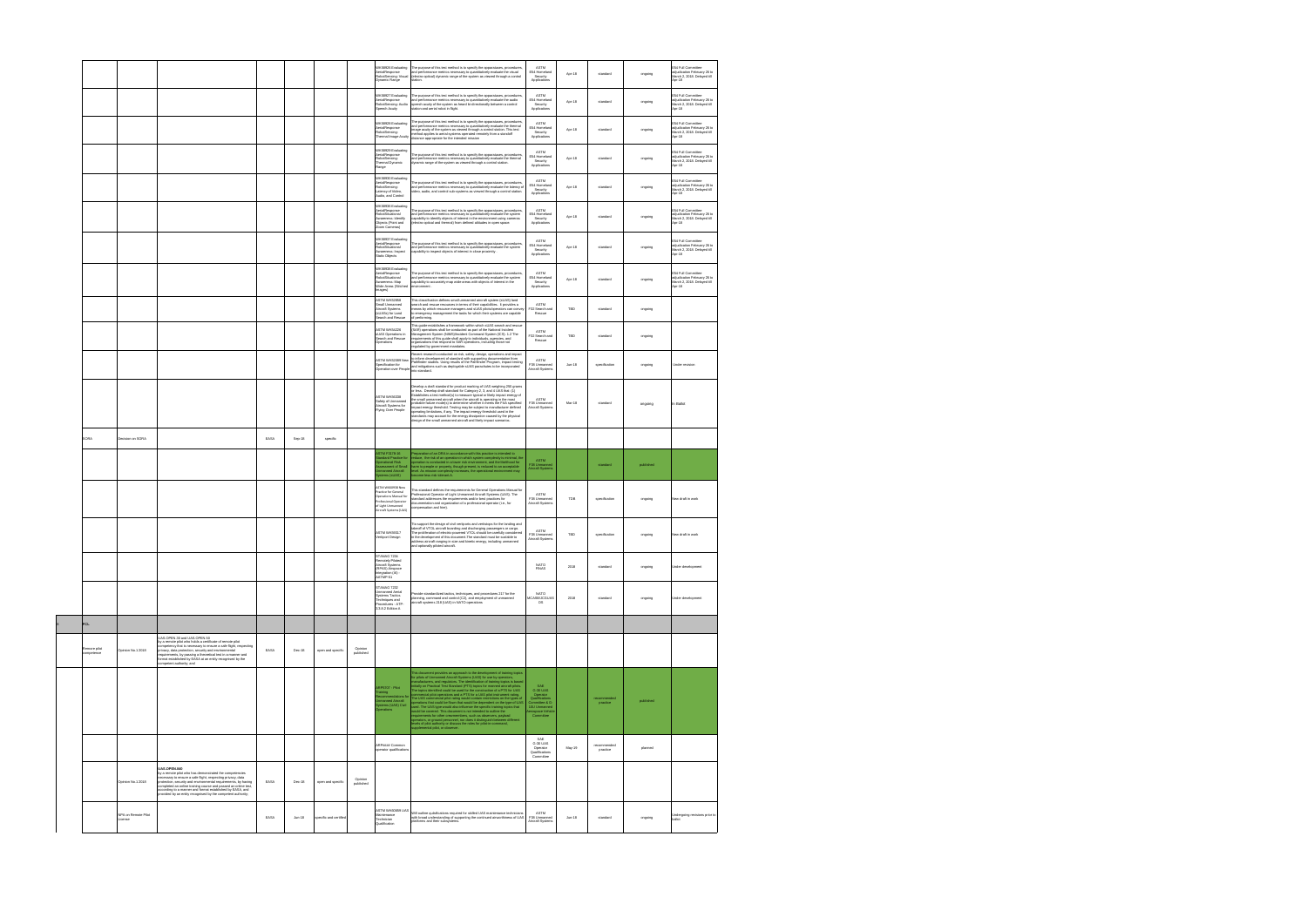|                            |                                |                                                                                                                                                                                                                                                                                                                                                                                                         |      |        |                        |                      | WK58926 Evaluating<br>AerialResponse<br>RobotSensing: Visual<br>Dynamic Range                                                           | The purpose of this test method is to specify the apparatuses, procedures<br>and performance metrics necessary to quantitatively evaluate the visual<br>(electro-optical) dynamic range of the system as viewed through a control<br>station.                                                                                                                                                                                                                                                                                                                                                                                                                                                                    | ASTM<br>E54 Homeland<br>Security<br>Applications                                      | Apr-18   | standard                | ongoing   | E54 Full Committee<br>adjudication February 26 to<br>March 2, 2018. Delayed till<br>Apr-18        |
|----------------------------|--------------------------------|---------------------------------------------------------------------------------------------------------------------------------------------------------------------------------------------------------------------------------------------------------------------------------------------------------------------------------------------------------------------------------------------------------|------|--------|------------------------|----------------------|-----------------------------------------------------------------------------------------------------------------------------------------|------------------------------------------------------------------------------------------------------------------------------------------------------------------------------------------------------------------------------------------------------------------------------------------------------------------------------------------------------------------------------------------------------------------------------------------------------------------------------------------------------------------------------------------------------------------------------------------------------------------------------------------------------------------------------------------------------------------|---------------------------------------------------------------------------------------|----------|-------------------------|-----------|---------------------------------------------------------------------------------------------------|
|                            |                                |                                                                                                                                                                                                                                                                                                                                                                                                         |      |        |                        |                      | VK58927 Evaluating<br>AerialResponse<br>RobotSensing: Audio<br>peech Acuity                                                             | The purpose of this test method is to specify the apparatuses, procedures<br>and performance metrics necessary to quantitatively evaluate the audio<br>peech acuity of the system as heard bi-directionally between a control<br>tation and aerial robot in flight.                                                                                                                                                                                                                                                                                                                                                                                                                                              | ASTM<br>E54 Homeland<br>Security<br>Applications                                      | Apr-18   | standard                | ongoing   | E54 Full Committee<br>adjudication February 26 to<br>March 2, 2018. Delayed till<br>Apr-18        |
|                            |                                |                                                                                                                                                                                                                                                                                                                                                                                                         |      |        |                        |                      | WK58928 Evaluating<br>AerialResponse<br>RobotSensing:<br>hermal Image Acuity                                                            | he purpose of this test method is to specify the apparatuses, procedures<br>and performance metrics necessary to quantitatively evaluate the thermal<br>image acuity of the system as viewed through a control station. This test<br>ethod applies to aerial systems operated remotely from a standoff<br>distance appropriate for the intended mission                                                                                                                                                                                                                                                                                                                                                          | ASTM<br>E54 Homeland<br>Security<br>Applications                                      | Apr-18   | standard                | ongoing   | E54 Full Committee<br>adjudication February 26 to<br>March 2, 2018. Delayed till<br>Apr-18        |
|                            |                                |                                                                                                                                                                                                                                                                                                                                                                                                         |      |        |                        |                      | WK58929 Evaluating<br>AerialResponse<br>RobotSensing:<br>Thermal Dynamic<br>Range                                                       | The purpose of this test method is to specify the apparatuses, procedures,<br>and performance metrics necessary to quantitatively evaluate the thermal<br>dynamic range of the system as viewed through a control station.                                                                                                                                                                                                                                                                                                                                                                                                                                                                                       | <b>ASTM</b><br>E54 Homeland<br>Security<br>Applications                               | Apr-18   | standard                | ongoing   | <b>F54 Full Committee</b><br>adjudication February 26 to<br>March 2, 2018. Delayed till<br>Apr-18 |
|                            |                                |                                                                                                                                                                                                                                                                                                                                                                                                         |      |        |                        |                      | WK58930 Evaluating<br>AerialResponse<br>RobotSensing:<br>Latency of Video.<br>udio, and Control                                         | The purpose of this test method is to specify the apparatuses, procedures<br>and performance metrics necessary to quantitatively evaluate the latency o<br>video, audio, and control sub-systems as viewed through a control station                                                                                                                                                                                                                                                                                                                                                                                                                                                                             | ASTM<br>E54 Homeland<br>Security<br>Applications                                      | Apr-18   | standard                | ongoing   | E54 Full Committee<br>adiudication February 26 to<br>March 2, 2018. Delayed till<br>Apr-18        |
|                            |                                |                                                                                                                                                                                                                                                                                                                                                                                                         |      |        |                        |                      | WK58936 Evaluating<br>erialResponse<br>RobotSituational<br>wareness: Identify<br>Objects (Point and<br>Coom Cameras)                    | The purpose of this test method is to specify the apparatuses, procedures<br>and performance metrics necessary to quantitatively evaluate the system<br>capability to identify objects of interest in the environment using cameras<br>electro-optical and thermal) from defined altitudes in open space.                                                                                                                                                                                                                                                                                                                                                                                                        | <b>ASTM</b><br>E54 Homeland<br>Security<br>Applications                               | Apr-18   | standard                | ongoing   | E54 Full Committee<br>adiudication February 26 to<br>March 2, 2018. Delayed till<br>Apr-18        |
|                            |                                |                                                                                                                                                                                                                                                                                                                                                                                                         |      |        |                        |                      | WK58937 Evaluating<br>erialResponse<br>RobotSituational<br>wareness: Inspect<br>Static Objects                                          | The purpose of this test method is to specify the apparatuses, procedures<br>and performance metrics necessary to quantitatively evaluate the system<br>capability to inspect objects of interest in close proximity.                                                                                                                                                                                                                                                                                                                                                                                                                                                                                            | <b>ASTM</b><br>E54 Homeland<br>Security<br>Applications                               | Apr-18   | standard                | ongoing   | E54 Full Committee<br>adjudication February 26 to<br>March 2, 2018. Delayed till<br>Apr-18        |
|                            |                                |                                                                                                                                                                                                                                                                                                                                                                                                         |      |        |                        |                      | WK58938 Evaluating<br>AerialResponse<br><b>RobotSituational</b><br>Awareness: Map<br>Wide Areas (Stitched<br>Images)                    | The purpose of this test method is to specify the apparatuses, procedures<br>and performance metrics necessary to quantitatively evaluate the system<br>capability to accurately map wide areas with objects of interest in the<br>environment                                                                                                                                                                                                                                                                                                                                                                                                                                                                   | ASTM<br>E54 Homeland<br>Security<br>Applications                                      | Apr-18   | standard                | ongoing   | E54 Full Committee<br>adjudication February 26 to<br>March 2, 2018. Delayed till<br>Apr-18        |
|                            |                                |                                                                                                                                                                                                                                                                                                                                                                                                         |      |        |                        |                      | <b>ASTM WK52858</b><br>Small Linmanned<br>Aircraft Systems<br>(sUASs) for Land<br>earch and Rescue                                      | This classification defines small unmanned aircraft system (sUAS) land<br>rearch and rescue resources in terms of their canabilities. It provides a<br>eans by which resource managers and sUAS pilots/operators can conve<br>to emergency management the tasks for which their systems are capable<br>of performing.                                                                                                                                                                                                                                                                                                                                                                                            | <b>ASTM</b><br>F32 Search and<br>Rescue                                               | TBD      | standard                | ongoing   |                                                                                                   |
|                            |                                |                                                                                                                                                                                                                                                                                                                                                                                                         |      |        |                        |                      | ASTM WK54226<br>sUAS Operations in<br>Search and Rescue<br>Operations                                                                   | his guide establishes a framework within which sUAS search and rescue<br>(SAR) onerations shall be conducted as nart of the National Incident<br>Management System (NIMS)/Incident Command System (ICS). 1.2 The<br>requirements of this guide shall apply to individuals, agencies, and<br>organizations that respond to SAR operations, including those not<br>egulated by government mandates.                                                                                                                                                                                                                                                                                                                | <b>ASTM</b><br>F32 Search and<br>Rescue                                               | TBD      | standard                | ongoing   |                                                                                                   |
|                            |                                |                                                                                                                                                                                                                                                                                                                                                                                                         |      |        |                        |                      | ASTM WK52089 New<br>Specification for<br>Operation over People                                                                          | Recent research conducted on risk, safety, design, operations and impact<br>to inform development of standard with supporting documentation from<br>Pathlinder studies. Using results of the Pathlinder Program, impact testing<br>and mitigations such as deployable sUAS parachutes to be incorporated<br>into standard.                                                                                                                                                                                                                                                                                                                                                                                       | ASTM<br>F38 Unmanned<br>Aircraft Systems                                              | $Jun-18$ | specification           | ongoing   | Under revision                                                                                    |
|                            |                                |                                                                                                                                                                                                                                                                                                                                                                                                         |      |        |                        |                      | ASTM WK56338<br>Safety of Unmanned<br>Aircraft Systems for<br>lying Over People                                                         | levelop a draft standard for product marking of UAS weighing 250 grams<br>or less. Develop draft standard for Category 2, 3, and 4 UAS that: (1)<br>Establishes a test method(s) to measure typical or likely impact energy of<br>he small unmanned aircraft when the aircraft is operating in the most<br>probable failure mode(s) to determine whether it meets the FAA specified<br>npact energy threshold. Testing may be subject to manufacturer defined<br>operating limitations, if any. The impact energy threshold used in the<br>standards may account for the energy dissipation caused by the physical<br>design of the small unmanned aircraft and likely impact scenarios                          | <b>ASTM</b><br>F38 Unmanned<br>Aircraft Systems                                       | Mar-18   | standard                | ongoing   | In Ballot                                                                                         |
| SORA                       | Decision on SORA               |                                                                                                                                                                                                                                                                                                                                                                                                         | EASA | Sep-18 | specific               |                      |                                                                                                                                         |                                                                                                                                                                                                                                                                                                                                                                                                                                                                                                                                                                                                                                                                                                                  |                                                                                       |          |                         |           |                                                                                                   |
|                            |                                |                                                                                                                                                                                                                                                                                                                                                                                                         |      |        |                        |                      | STM F3178-16<br>Indard Practice for<br>erational Risk<br><b>Essment of Small</b><br>nanned Aircraft<br>ns (sUAS)                        | paration of an ORA in accordance with this practice is intended to<br>educe, the risk of an operation in which system complexity is minimal, th<br>peration is conducted in a lower risk environment, and the likelihood for<br>.<br>arm to people or property, though present, is reduced to an acceptable<br>wel. As mission complexity increases, the operational environment may<br>ecome less risk tolerant.A.                                                                                                                                                                                                                                                                                              | <b>ASTM</b><br>F38 Unmanned<br>Aircraft Systems                                       |          | standard                | published |                                                                                                   |
|                            |                                |                                                                                                                                                                                                                                                                                                                                                                                                         |      |        |                        |                      | ASTM WK60938 New<br>Practice for General<br>Operations Manual for<br>rofessional Operator<br>of Light Unmanned<br>ircraft Systems (UAS) | This standard defines the requirements for General Operations Manual for<br>rofessional Operator of Light Unmanned Aircraft Systems (UAS). The<br>standard addresses the requirements and/or best practices for<br>documentation and organization of a professional operator (i.e., for<br>compensation and hire).                                                                                                                                                                                                                                                                                                                                                                                               | <b>ASTM</b><br>F38 Unmanned<br>Aircraft Systems                                       | TDB      | specification           | ongoing   | New draft in work                                                                                 |
|                            |                                |                                                                                                                                                                                                                                                                                                                                                                                                         |      |        |                        |                      | <b>ASTM WK59317</b><br>Vertiport Design                                                                                                 | Tto support the design of civil vertiports and vertistops for the landing and<br>takeoff of VTOL aircraft boarding and discharging passengers or cargo.<br>The proliferation of electric-powered VTOL should be carefully considered<br>in the development of this document The standard must be scalable to<br>address aircraft ranging in size and kinetic energy, including unmanned<br>and optionally piloted aircraft.                                                                                                                                                                                                                                                                                      | <b>ASTM</b><br>F38 Unmanned<br>Aircraft System                                        | TBD      | specification           | ongoing   | New draft in work                                                                                 |
|                            |                                |                                                                                                                                                                                                                                                                                                                                                                                                         |      |        |                        |                      | <b>STANAG 7234</b><br>Remotely Piloted<br>Aircraft Systems<br>(RPAS) Airspace<br>Integration (AI) -<br>AATMP-51                         |                                                                                                                                                                                                                                                                                                                                                                                                                                                                                                                                                                                                                                                                                                                  | <b>NATO</b><br><b>FINAS</b>                                                           | 2018     | standard                | ongoing   | Under development                                                                                 |
|                            |                                |                                                                                                                                                                                                                                                                                                                                                                                                         |      |        |                        |                      | <b>STANAG 7232</b><br><b>Jnmanned Aerial</b><br><b>Systems Tactics</b><br>Fechniques and<br>Procedures - ATP-<br>3.3.8.2 Edition A      | rovide standardized tactics, techniques, and procedures 217 for the<br>planning, command and control (C2), and employment of unmanned<br>arcraft systems 218 (UAS) in NATO operations                                                                                                                                                                                                                                                                                                                                                                                                                                                                                                                            | NATO<br><b>MCASB/JCGUAS</b><br>os                                                     | 2018     | standard                | ongoing   | Under development                                                                                 |
| FCL                        |                                |                                                                                                                                                                                                                                                                                                                                                                                                         |      |        |                        |                      |                                                                                                                                         |                                                                                                                                                                                                                                                                                                                                                                                                                                                                                                                                                                                                                                                                                                                  |                                                                                       |          |                         |           |                                                                                                   |
| Remore pilot<br>competence | Opinion No.1 2018              | UAS.OPEN.30 and UAS.OPEN.50<br>by a remote pilot who holds a certificate of remote pilot<br>ompetency that is necessary to ensure a safe flight, respecting<br>privacy, data protection, security and environmental<br>requirements, by passing a theoretical test in a manner and<br>format established by EASA at an entity recognised by the<br>competent authority; and                             | EASA | Dec-18 | open and specific      | Opinion<br>published |                                                                                                                                         |                                                                                                                                                                                                                                                                                                                                                                                                                                                                                                                                                                                                                                                                                                                  |                                                                                       |          |                         |           |                                                                                                   |
|                            |                                |                                                                                                                                                                                                                                                                                                                                                                                                         |      |        |                        |                      | RP5707 - Pilot<br>sining<br>endations fo<br>stems (UAS) Civil<br>rations                                                                | This document provides an approach to the development of training topics<br>for pilots of Unmanned Aircraft Systems (UAS) for use by operators,<br>manufacturers, and regulators. The identification of training topics is based<br>initially on Practical Test Standard (PTS) topics for manned aircraft pilots<br>The tonics identified could be used for the construction of a PTS for UAS.<br>mmercial pilot operations and a PTS for a UAS pilot instrument rating.<br>The UAS commercial pilot rating would contain restrictions on the types of<br>operations that could be flown that would be dependent on the type of UAS<br>used. The UAS type would also influence the specific training topics that | G-30 UAS<br>Operator<br>Qualification<br>ommittee & G<br>10U Unmanne<br>rospace Vehic |          | practice                | published |                                                                                                   |
|                            |                                |                                                                                                                                                                                                                                                                                                                                                                                                         |      |        |                        |                      |                                                                                                                                         | source the coverage This document is not intended to outline the would be covered. This document is not intended to outline the requirements for other crewnembers, such as observers, payload personnel, nor does it distingu<br>supplemental pilot, or observer.                                                                                                                                                                                                                                                                                                                                                                                                                                               | Committee                                                                             |          |                         |           |                                                                                                   |
|                            |                                |                                                                                                                                                                                                                                                                                                                                                                                                         |      |        |                        |                      | ARP#### Common<br>berator qualification                                                                                                 |                                                                                                                                                                                                                                                                                                                                                                                                                                                                                                                                                                                                                                                                                                                  | SAE<br>$G-30$ UAS<br>Operator<br>Qualifications<br>Committee                          | May-19   | recommended<br>practice | planned   |                                                                                                   |
|                            | Opinion No.1 2018              | UAS.OPEN.040<br>by a remote pilot who has demonstrated the competencies<br>necessary to ensure a safe flight, respecting privacy, data<br>protection, security and environmental requirements, by having<br>completed an online training course and passed an online test,<br>according to a manner and format established by EASA, and<br>provided by an entity recognised by the competent authority; | EASA | Dec-18 | open and specific      | Opinion<br>published |                                                                                                                                         |                                                                                                                                                                                                                                                                                                                                                                                                                                                                                                                                                                                                                                                                                                                  |                                                                                       |          |                         |           |                                                                                                   |
|                            | NPA on Remote Pilot<br>License |                                                                                                                                                                                                                                                                                                                                                                                                         | EASA | Jun-18 | specific and certifier |                      | ASTM WK60659 UAS<br>Maintenance<br>Technician<br>Qualification                                                                          | Will outline qulaifications required for skilled UAS maintenance technicians<br>with broad understanding of supporting the continued airworthiness of UAS<br>platforms and their subsystems.                                                                                                                                                                                                                                                                                                                                                                                                                                                                                                                     | ASTM<br>F38 Unmanned<br>Aircraft Systems                                              | $Jun-18$ | standard                | ongoing   | Undergoing revisions prior to<br>ballot                                                           |